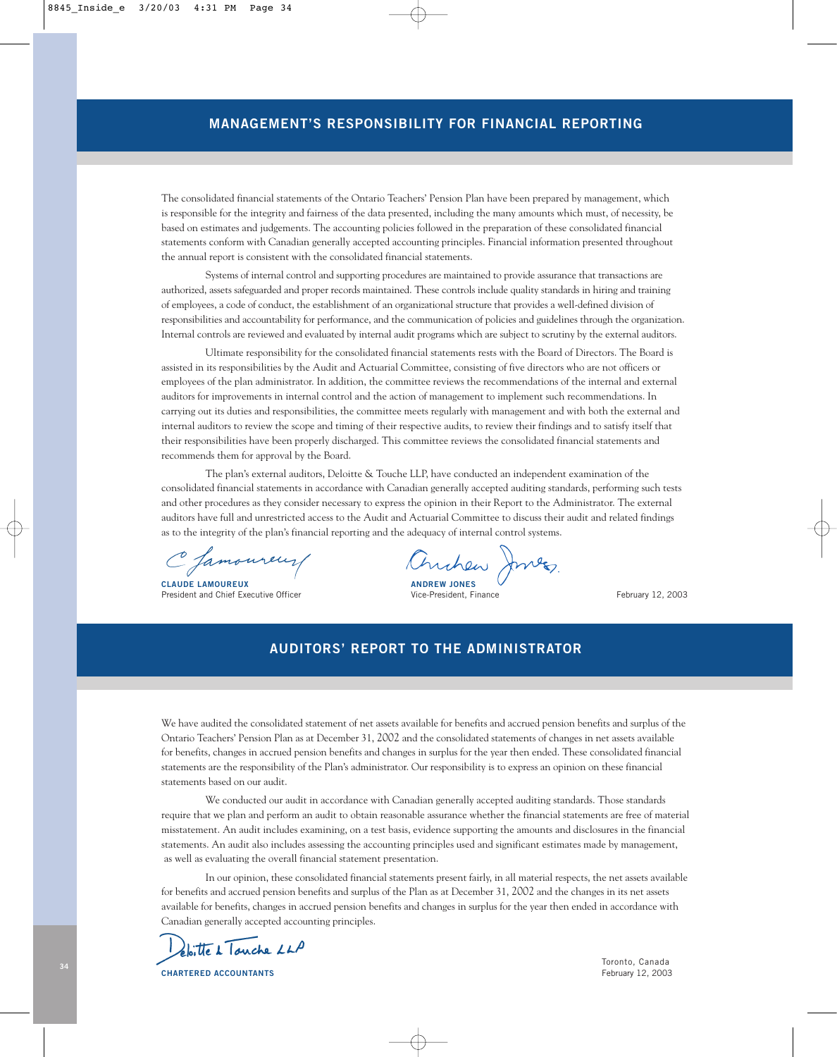# **MANAGEMENT'S RESPONSIBILITY FOR FINANCIAL REPORTING**

The consolidated financial statements of the Ontario Teachers' Pension Plan have been prepared by management, which is responsible for the integrity and fairness of the data presented, including the many amounts which must, of necessity, be based on estimates and judgements. The accounting policies followed in the preparation of these consolidated financial statements conform with Canadian generally accepted accounting principles. Financial information presented throughout the annual report is consistent with the consolidated financial statements.

Systems of internal control and supporting procedures are maintained to provide assurance that transactions are authorized, assets safeguarded and proper records maintained. These controls include quality standards in hiring and training of employees, a code of conduct, the establishment of an organizational structure that provides a well-defined division of responsibilities and accountability for performance, and the communication of policies and guidelines through the organization. Internal controls are reviewed and evaluated by internal audit programs which are subject to scrutiny by the external auditors.

Ultimate responsibility for the consolidated financial statements rests with the Board of Directors. The Board is assisted in its responsibilities by the Audit and Actuarial Committee, consisting of five directors who are not officers or employees of the plan administrator. In addition, the committee reviews the recommendations of the internal and external auditors for improvements in internal control and the action of management to implement such recommendations. In carrying out its duties and responsibilities, the committee meets regularly with management and with both the external and internal auditors to review the scope and timing of their respective audits, to review their findings and to satisfy itself that their responsibilities have been properly discharged. This committee reviews the consolidated financial statements and recommends them for approval by the Board.

The plan's external auditors, Deloitte & Touche LLP, have conducted an independent examination of the consolidated financial statements in accordance with Canadian generally accepted auditing standards, performing such tests and other procedures as they consider necessary to express the opinion in their Report to the Administrator. The external auditors have full and unrestricted access to the Audit and Actuarial Committee to discuss their audit and related findings as to the integrity of the plan's financial reporting and the adequacy of internal control systems.

C famoureur

**CLAUDE LAMOUREUX** ANDREW JONES President and Chief Executive Officer Vice-President, Finance February 12, 2003

Chrchen Jon

# **AUDITORS' REPORT TO THE ADMINISTRATOR**

We have audited the consolidated statement of net assets available for benefits and accrued pension benefits and surplus of the Ontario Teachers' Pension Plan as at December 31, 2002 and the consolidated statements of changes in net assets available for benefits, changes in accrued pension benefits and changes in surplus for the year then ended. These consolidated financial statements are the responsibility of the Plan's administrator. Our responsibility is to express an opinion on these financial statements based on our audit.

We conducted our audit in accordance with Canadian generally accepted auditing standards. Those standards require that we plan and perform an audit to obtain reasonable assurance whether the financial statements are free of material misstatement. An audit includes examining, on a test basis, evidence supporting the amounts and disclosures in the financial statements. An audit also includes assessing the accounting principles used and significant estimates made by management, as well as evaluating the overall financial statement presentation.

In our opinion, these consolidated financial statements present fairly, in all material respects, the net assets available for benefits and accrued pension benefits and surplus of the Plan as at December 31, 2002 and the changes in its net assets available for benefits, changes in accrued pension benefits and changes in surplus for the year then ended in accordance with Canadian generally accepted accounting principles.

plaitte à Touche LLP

**CHARTERED ACCOUNTANTS** February 12, 2003

Toronto, Canada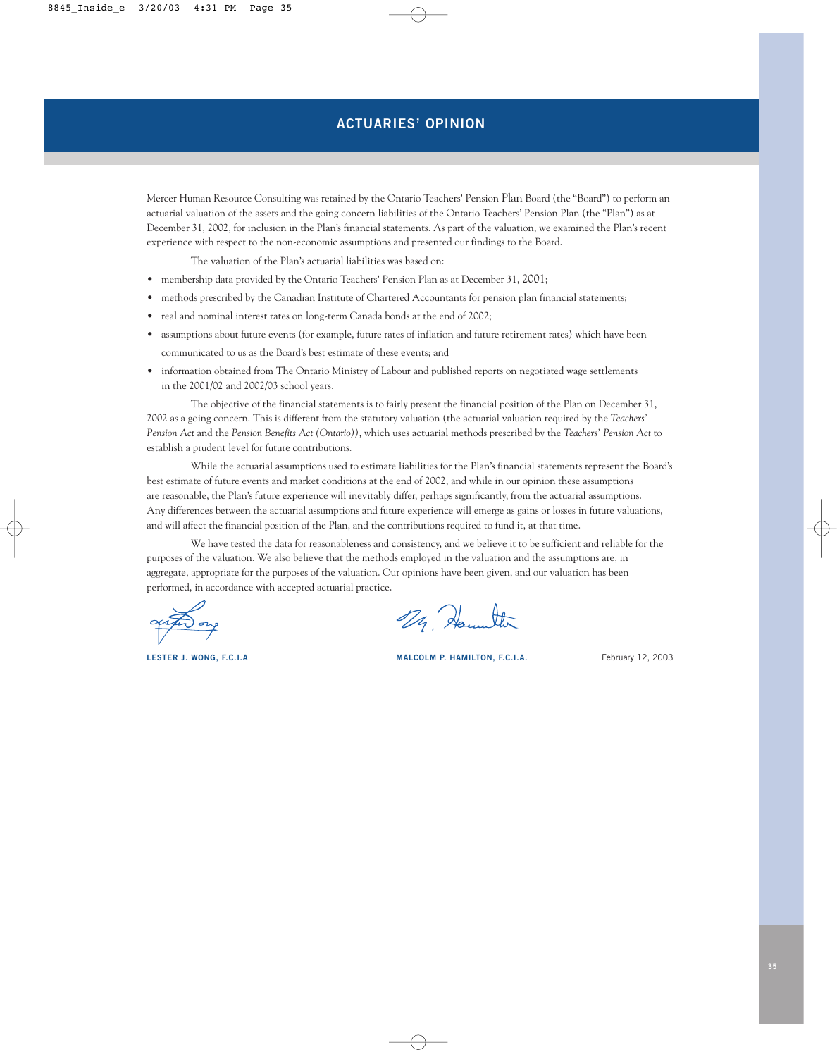Mercer Human Resource Consulting was retained by the Ontario Teachers' Pension Plan Board (the "Board") to perform an actuarial valuation of the assets and the going concern liabilities of the Ontario Teachers' Pension Plan (the "Plan") as at December 31, 2002, for inclusion in the Plan's financial statements. As part of the valuation, we examined the Plan's recent experience with respect to the non-economic assumptions and presented our findings to the Board.

The valuation of the Plan's actuarial liabilities was based on:

- membership data provided by the Ontario Teachers' Pension Plan as at December 31, 2001;
- methods prescribed by the Canadian Institute of Chartered Accountants for pension plan financial statements;
- real and nominal interest rates on long-term Canada bonds at the end of 2002;
- assumptions about future events (for example, future rates of inflation and future retirement rates) which have been communicated to us as the Board's best estimate of these events; and
- information obtained from The Ontario Ministry of Labour and published reports on negotiated wage settlements in the 2001/02 and 2002/03 school years.

The objective of the financial statements is to fairly present the financial position of the Plan on December 31, 2002 as a going concern. This is different from the statutory valuation (the actuarial valuation required by the *Teachers' Pension Act* and the *Pension Benefits Act (Ontario))*, which uses actuarial methods prescribed by the *Teachers' Pension Act* to establish a prudent level for future contributions.

While the actuarial assumptions used to estimate liabilities for the Plan's financial statements represent the Board's best estimate of future events and market conditions at the end of 2002, and while in our opinion these assumptions are reasonable, the Plan's future experience will inevitably differ, perhaps significantly, from the actuarial assumptions. Any differences between the actuarial assumptions and future experience will emerge as gains or losses in future valuations, and will affect the financial position of the Plan, and the contributions required to fund it, at that time.

We have tested the data for reasonableness and consistency, and we believe it to be sufficient and reliable for the purposes of the valuation. We also believe that the methods employed in the valuation and the assumptions are, in aggregate, appropriate for the purposes of the valuation. Our opinions have been given, and our valuation has been performed, in accordance with accepted actuarial practice.

29 Hounter

**LESTER J. WONG, F.C.I.A MALCOLM P. HAMILTON, F.C.I.A.** February 12, 2003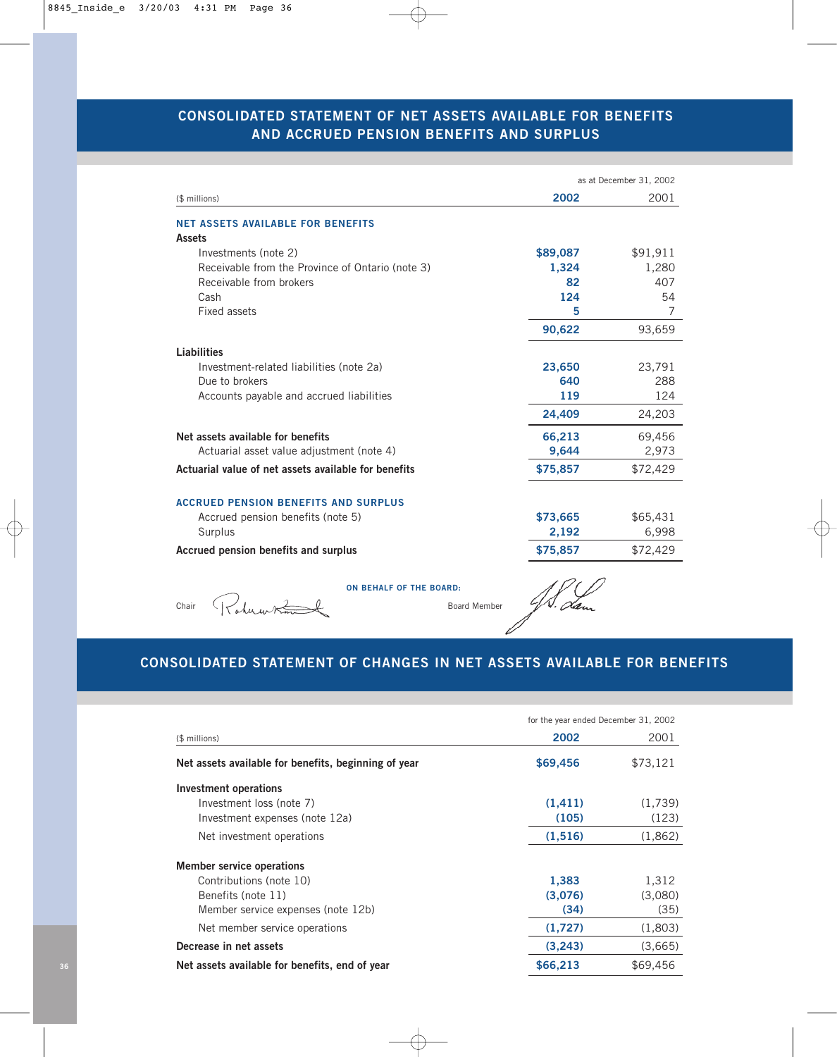# **CONSOLIDATED STATEMENT OF NET ASSETS AVAILABLE FOR BENEFITS AND ACCRUED PENSION BENEFITS AND SURPLUS**

|                                                      | as at December 31, 2002 |          |  |
|------------------------------------------------------|-------------------------|----------|--|
| (\$ millions)                                        | 2002                    | 2001     |  |
| <b>NET ASSETS AVAILABLE FOR BENEFITS</b>             |                         |          |  |
| <b>Assets</b>                                        |                         |          |  |
| Investments (note 2)                                 | \$89,087                | \$91,911 |  |
| Receivable from the Province of Ontario (note 3)     | 1,324                   | 1,280    |  |
| Receivable from brokers                              | 82                      | 407      |  |
| Cash                                                 | 124                     | 54       |  |
| Fixed assets                                         | 5                       | 7        |  |
|                                                      | 90,622                  | 93,659   |  |
| <b>Liabilities</b>                                   |                         |          |  |
| Investment-related liabilities (note 2a)             | 23,650                  | 23,791   |  |
| Due to brokers                                       | 640                     | 288      |  |
| Accounts payable and accrued liabilities             | 119                     | 124      |  |
|                                                      | 24,409                  | 24,203   |  |
| Net assets available for benefits                    | 66,213                  | 69,456   |  |
| Actuarial asset value adjustment (note 4)            | 9,644                   | 2,973    |  |
| Actuarial value of net assets available for benefits | \$75,857                | \$72,429 |  |
| <b>ACCRUED PENSION BENEFITS AND SURPLUS</b>          |                         |          |  |
| Accrued pension benefits (note 5)                    | \$73,665                | \$65,431 |  |
| Surplus                                              | 2,192                   | 6,998    |  |
| Accrued pension benefits and surplus                 | \$75,857                | \$72,429 |  |
|                                                      |                         |          |  |
| <b>ON BEHALF OF THE BOARD:</b>                       |                         |          |  |
| $d$ u ur $\approx$<br>Chair<br>Board Member          |                         |          |  |
|                                                      |                         |          |  |

# **CONSOLIDATED STATEMENT OF CHANGES IN NET ASSETS AVAILABLE FOR BENEFITS**

|                                                      | for the year ended December 31, 2002 |          |
|------------------------------------------------------|--------------------------------------|----------|
| (\$ millions)                                        | 2002                                 | 2001     |
| Net assets available for benefits, beginning of year | \$69,456                             | \$73,121 |
| Investment operations                                |                                      |          |
| Investment loss (note 7)                             | (1, 411)                             | (1,739)  |
| Investment expenses (note 12a)                       | (105)                                | (123)    |
| Net investment operations                            | (1,516)                              | (1,862)  |
| <b>Member service operations</b>                     |                                      |          |
| Contributions (note 10)                              | 1,383                                | 1,312    |
| Benefits (note 11)                                   | (3,076)                              | (3,080)  |
| Member service expenses (note 12b)                   | (34)                                 | (35)     |
| Net member service operations                        | (1,727)                              | (1,803)  |
| Decrease in net assets                               | (3,243)                              | (3,665)  |
| Net assets available for benefits, end of year       | \$66,213                             | \$69,456 |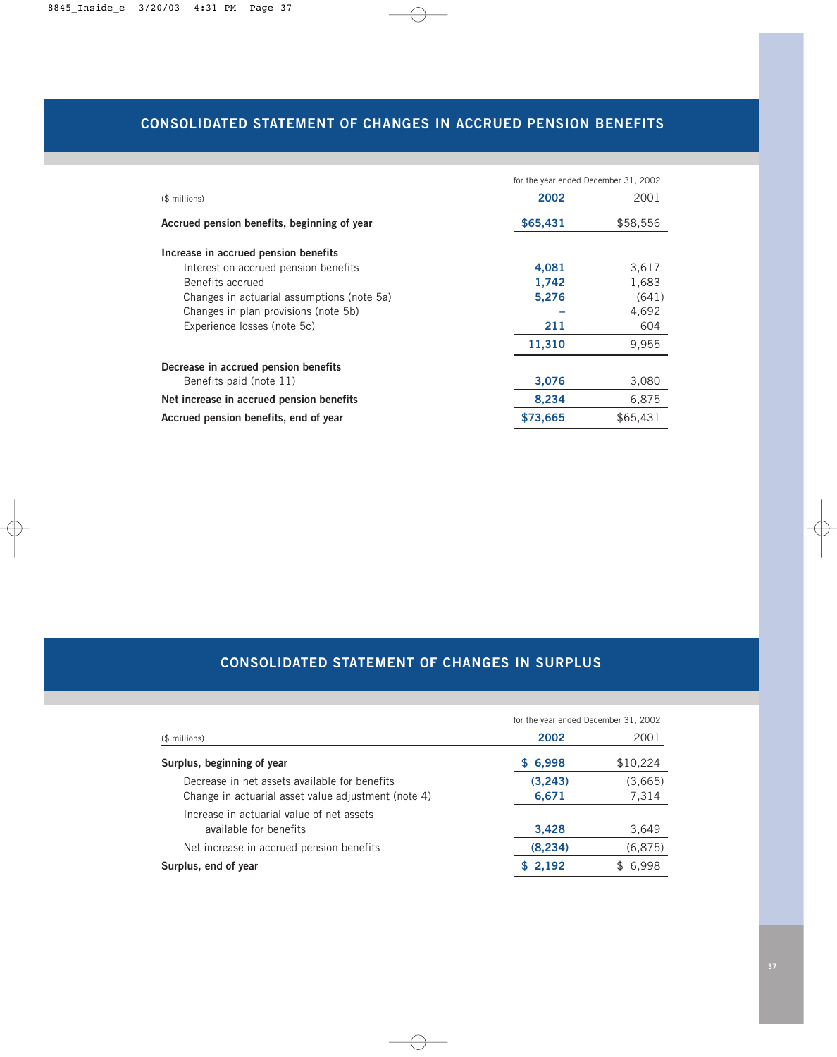# **CONSOLIDATED STATEMENT OF CHANGES IN ACCRUED PENSION BENEFITS**

|                                             | for the year ended December 31, 2002 |          |
|---------------------------------------------|--------------------------------------|----------|
| (\$ millions)                               | 2002                                 | 2001     |
| Accrued pension benefits, beginning of year | \$65,431                             | \$58,556 |
| Increase in accrued pension benefits        |                                      |          |
| Interest on accrued pension benefits        | 4,081                                | 3,617    |
| Benefits accrued                            | 1,742                                | 1,683    |
| Changes in actuarial assumptions (note 5a)  | 5,276                                | (641)    |
| Changes in plan provisions (note 5b)        |                                      | 4,692    |
| Experience losses (note 5c)                 | 211                                  | 604      |
|                                             | 11,310                               | 9,955    |
| Decrease in accrued pension benefits        |                                      |          |
| Benefits paid (note 11)                     | 3,076                                | 3,080    |
| Net increase in accrued pension benefits    | 8,234                                | 6,875    |
| Accrued pension benefits, end of year       | \$73,665                             | \$65,431 |

# **CONSOLIDATED STATEMENT OF CHANGES IN SURPLUS**

|                                                     | for the year ended December 31, 2002 |          |  |
|-----------------------------------------------------|--------------------------------------|----------|--|
| (\$ millions)                                       | 2002                                 | 2001     |  |
| Surplus, beginning of year                          | \$6,998                              | \$10,224 |  |
| Decrease in net assets available for benefits       | (3,243)                              | (3,665)  |  |
| Change in actuarial asset value adjustment (note 4) | 6,671                                | 7,314    |  |
| Increase in actuarial value of net assets           |                                      |          |  |
| available for benefits                              | 3,428                                | 3,649    |  |
| Net increase in accrued pension benefits            | (8, 234)                             | (6,875)  |  |
| Surplus, end of year                                | \$2,192                              | \$6,998  |  |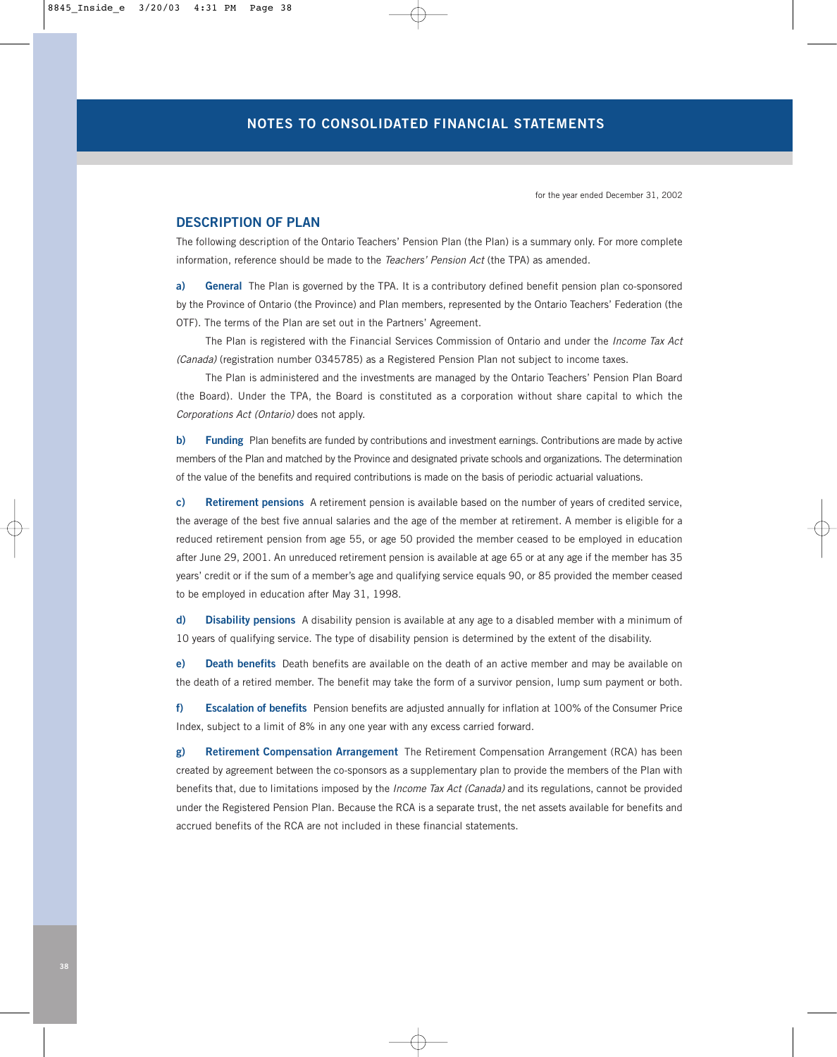for the year ended December 31, 2002

### **DESCRIPTION OF PLAN**

The following description of the Ontario Teachers' Pension Plan (the Plan) is a summary only. For more complete information, reference should be made to the *Teachers' Pension Act* (the TPA) as amended.

**a) General** The Plan is governed by the TPA. It is a contributory defined benefit pension plan co-sponsored by the Province of Ontario (the Province) and Plan members, represented by the Ontario Teachers' Federation (the OTF). The terms of the Plan are set out in the Partners' Agreement.

The Plan is registered with the Financial Services Commission of Ontario and under the *Income Tax Act (Canada)* (registration number 0345785) as a Registered Pension Plan not subject to income taxes.

The Plan is administered and the investments are managed by the Ontario Teachers' Pension Plan Board (the Board). Under the TPA, the Board is constituted as a corporation without share capital to which the *Corporations Act (Ontario)* does not apply.

**b)** Funding Plan benefits are funded by contributions and investment earnings. Contributions are made by active members of the Plan and matched by the Province and designated private schools and organizations. The determination of the value of the benefits and required contributions is made on the basis of periodic actuarial valuations.

**c) Retirement pensions** A retirement pension is available based on the number of years of credited service, the average of the best five annual salaries and the age of the member at retirement. A member is eligible for a reduced retirement pension from age 55, or age 50 provided the member ceased to be employed in education after June 29, 2001. An unreduced retirement pension is available at age 65 or at any age if the member has 35 years' credit or if the sum of a member's age and qualifying service equals 90, or 85 provided the member ceased to be employed in education after May 31, 1998.

**d) Disability pensions** A disability pension is available at any age to a disabled member with a minimum of 10 years of qualifying service. The type of disability pension is determined by the extent of the disability.

**e) Death benefits** Death benefits are available on the death of an active member and may be available on the death of a retired member. The benefit may take the form of a survivor pension, lump sum payment or both.

**f) Escalation of benefits** Pension benefits are adjusted annually for inflation at 100% of the Consumer Price Index, subject to a limit of 8% in any one year with any excess carried forward.

**g) Retirement Compensation Arrangement** The Retirement Compensation Arrangement (RCA) has been created by agreement between the co-sponsors as a supplementary plan to provide the members of the Plan with benefits that, due to limitations imposed by the *Income Tax Act (Canada)* and its regulations, cannot be provided under the Registered Pension Plan. Because the RCA is a separate trust, the net assets available for benefits and accrued benefits of the RCA are not included in these financial statements.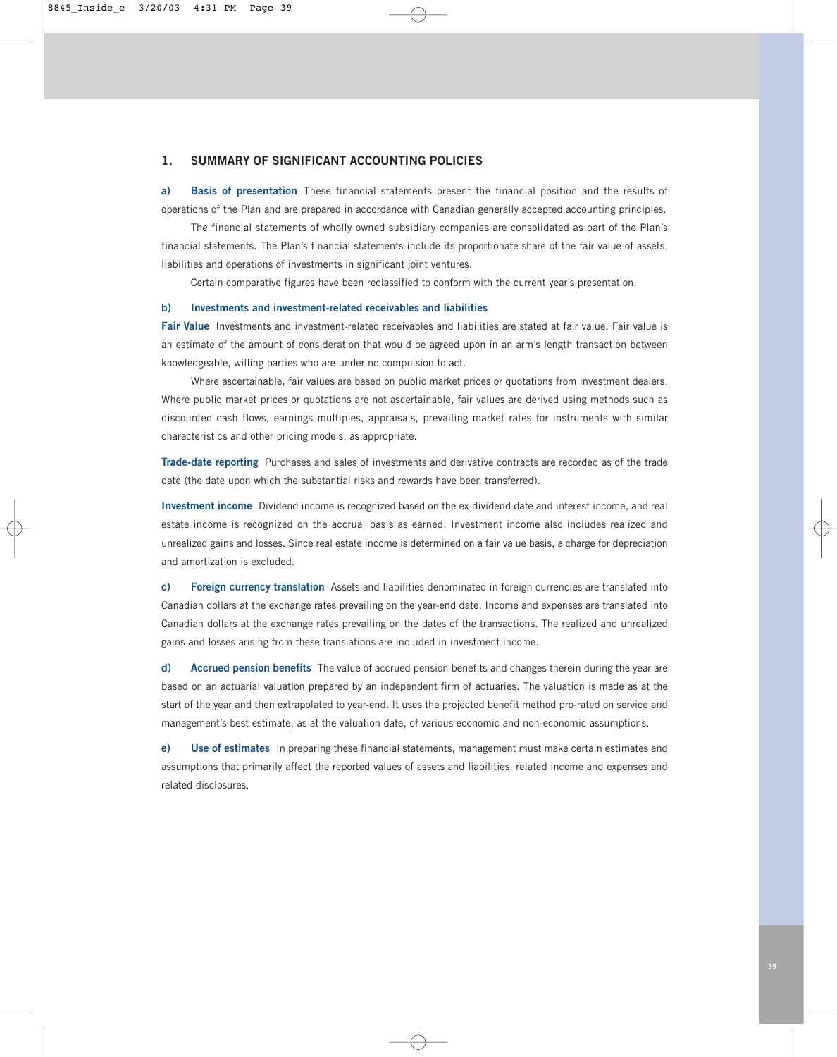### **1. SUMMARY OF SIGNIFICANT ACCOUNTING POLICIES**

**a) Basis of presentation** These financial statements present the financial position and the results of operations of the Plan and are prepared in accordance with Canadian generally accepted accounting principles.

The financial statements of wholly owned subsidiary companies are consolidated as part of the Plan's financial statements. The Plan's financial statements include its proportionate share of the fair value of assets, liabilities and operations of investments in significant joint ventures.

Certain comparative figures have been reclassified to conform with the current year's presentation.

#### **b) Investments and investment-related receivables and liabilities**

**Fair Value** Investments and investment-related receivables and liabilities are stated at fair value. Fair value is an estimate of the amount of consideration that would be agreed upon in an arm's length transaction between knowledgeable, willing parties who are under no compulsion to act.

Where ascertainable, fair values are based on public market prices or quotations from investment dealers. Where public market prices or quotations are not ascertainable, fair values are derived using methods such as discounted cash flows, earnings multiples, appraisals, prevailing market rates for instruments with similar characteristics and other pricing models, as appropriate.

**Trade-date reporting** Purchases and sales of investments and derivative contracts are recorded as of the trade date (the date upon which the substantial risks and rewards have been transferred).

**Investment income** Dividend income is recognized based on the ex-dividend date and interest income, and real estate income is recognized on the accrual basis as earned. Investment income also includes realized and unrealized gains and losses. Since real estate income is determined on a fair value basis, a charge for depreciation and amortization is excluded.

**c) Foreign currency translation** Assets and liabilities denominated in foreign currencies are translated into Canadian dollars at the exchange rates prevailing on the year-end date. Income and expenses are translated into Canadian dollars at the exchange rates prevailing on the dates of the transactions. The realized and unrealized gains and losses arising from these translations are included in investment income.

**d) Accrued pension benefits** The value of accrued pension benefits and changes therein during the year are based on an actuarial valuation prepared by an independent firm of actuaries. The valuation is made as at the start of the year and then extrapolated to year-end. It uses the projected benefit method pro-rated on service and management's best estimate, as at the valuation date, of various economic and non-economic assumptions.

**e) Use of estimates** In preparing these financial statements, management must make certain estimates and assumptions that primarily affect the reported values of assets and liabilities, related income and expenses and related disclosures.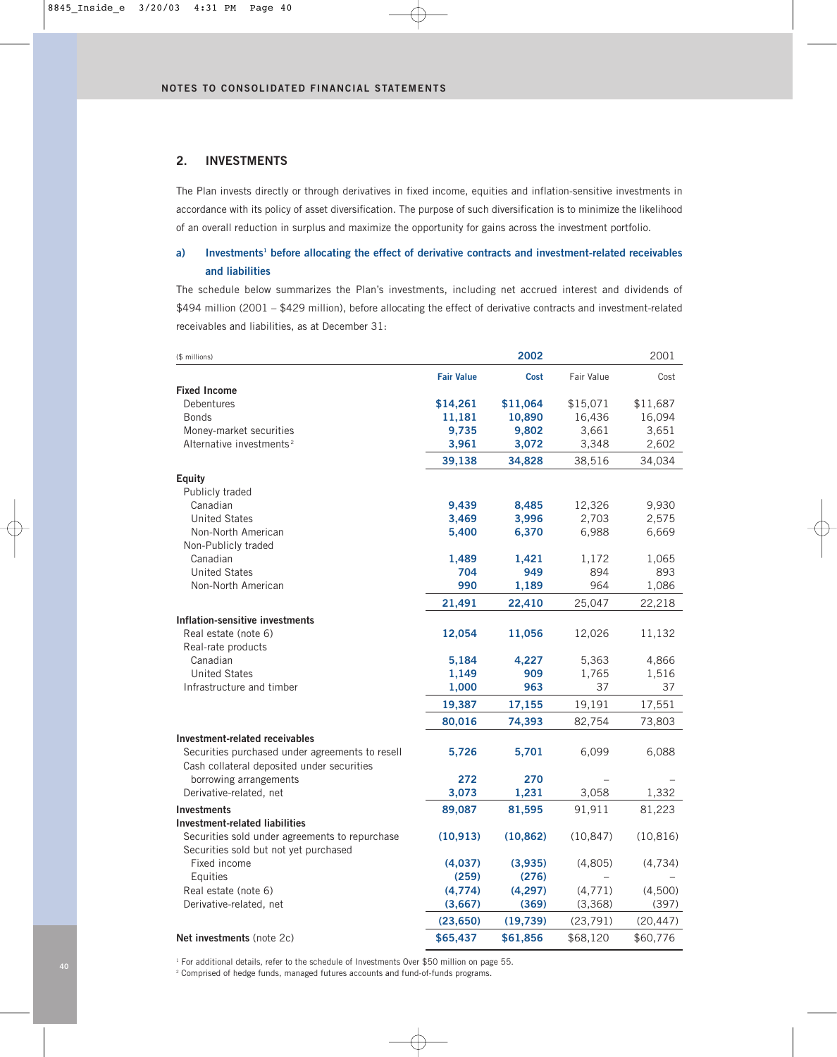### **2. INVESTMENTS**

The Plan invests directly or through derivatives in fixed income, equities and inflation-sensitive investments in accordance with its policy of asset diversification. The purpose of such diversification is to minimize the likelihood of an overall reduction in surplus and maximize the opportunity for gains across the investment portfolio.

## **a) Investments1 before allocating the effect of derivative contracts and investment-related receivables and liabilities**

The schedule below summarizes the Plan's investments, including net accrued interest and dividends of \$494 million (2001 – \$429 million), before allocating the effect of derivative contracts and investment-related receivables and liabilities, as at December 31:

| (\$ millions)                                                                                 |                   | 2002      |            | 2001      |
|-----------------------------------------------------------------------------------------------|-------------------|-----------|------------|-----------|
|                                                                                               | <b>Fair Value</b> | Cost      | Fair Value | Cost      |
| <b>Fixed Income</b>                                                                           |                   |           |            |           |
| Debentures                                                                                    | \$14,261          | \$11,064  | \$15,071   | \$11,687  |
| <b>Bonds</b>                                                                                  | 11,181            | 10,890    | 16,436     | 16,094    |
| Money-market securities                                                                       | 9,735             | 9,802     | 3,661      | 3,651     |
| Alternative investments <sup>2</sup>                                                          | 3,961             | 3,072     | 3,348      | 2,602     |
|                                                                                               | 39,138            | 34,828    | 38,516     | 34,034    |
| <b>Equity</b>                                                                                 |                   |           |            |           |
| Publicly traded                                                                               |                   |           |            |           |
| Canadian                                                                                      | 9,439             | 8,485     | 12,326     | 9,930     |
| <b>United States</b>                                                                          | 3,469             | 3,996     | 2,703      | 2,575     |
| Non-North American                                                                            | 5,400             | 6,370     | 6,988      | 6,669     |
| Non-Publicly traded                                                                           |                   |           |            |           |
| Canadian                                                                                      | 1,489             | 1,421     | 1,172      | 1,065     |
| <b>United States</b>                                                                          | 704               | 949       | 894        | 893       |
| Non-North American                                                                            | 990               | 1,189     | 964        | 1,086     |
|                                                                                               | 21,491            | 22,410    | 25,047     | 22,218    |
| Inflation-sensitive investments                                                               |                   |           |            |           |
| Real estate (note 6)                                                                          | 12,054            | 11,056    | 12,026     | 11,132    |
| Real-rate products                                                                            |                   |           |            |           |
| Canadian                                                                                      | 5,184             | 4,227     | 5,363      | 4,866     |
| <b>United States</b>                                                                          | 1,149             | 909       | 1,765      | 1,516     |
| Infrastructure and timber                                                                     | 1,000             | 963       | 37         | 37        |
|                                                                                               | 19,387            | 17,155    | 19,191     | 17,551    |
|                                                                                               | 80,016            | 74,393    | 82,754     | 73,803    |
| Investment-related receivables                                                                |                   |           |            |           |
| Securities purchased under agreements to resell<br>Cash collateral deposited under securities | 5,726             | 5,701     | 6,099      | 6,088     |
| borrowing arrangements                                                                        | 272               | 270       |            |           |
| Derivative-related, net                                                                       | 3,073             | 1,231     | 3,058      | 1,332     |
| <b>Investments</b>                                                                            | 89,087            | 81,595    | 91,911     | 81,223    |
| <b>Investment-related liabilities</b>                                                         |                   |           |            |           |
| Securities sold under agreements to repurchase<br>Securities sold but not yet purchased       | (10, 913)         | (10, 862) | (10, 847)  | (10, 816) |
| Fixed income                                                                                  | (4,037)           | (3,935)   | (4,805)    | (4,734)   |
| Equities                                                                                      | (259)             | (276)     |            |           |
| Real estate (note 6)                                                                          | (4,774)           | (4, 297)  | (4, 771)   | (4,500)   |
| Derivative-related, net                                                                       | (3,667)           | (369)     | (3,368)    | (397)     |
|                                                                                               | (23, 650)         | (19,739)  | (23, 791)  | (20, 447) |
| Net investments (note 2c)                                                                     | \$65,437          | \$61,856  | \$68,120   | \$60,776  |

<sup>1</sup> For additional details, refer to the schedule of Investments Over \$50 million on page 55.

<sup>2</sup> Comprised of hedge funds, managed futures accounts and fund-of-funds programs.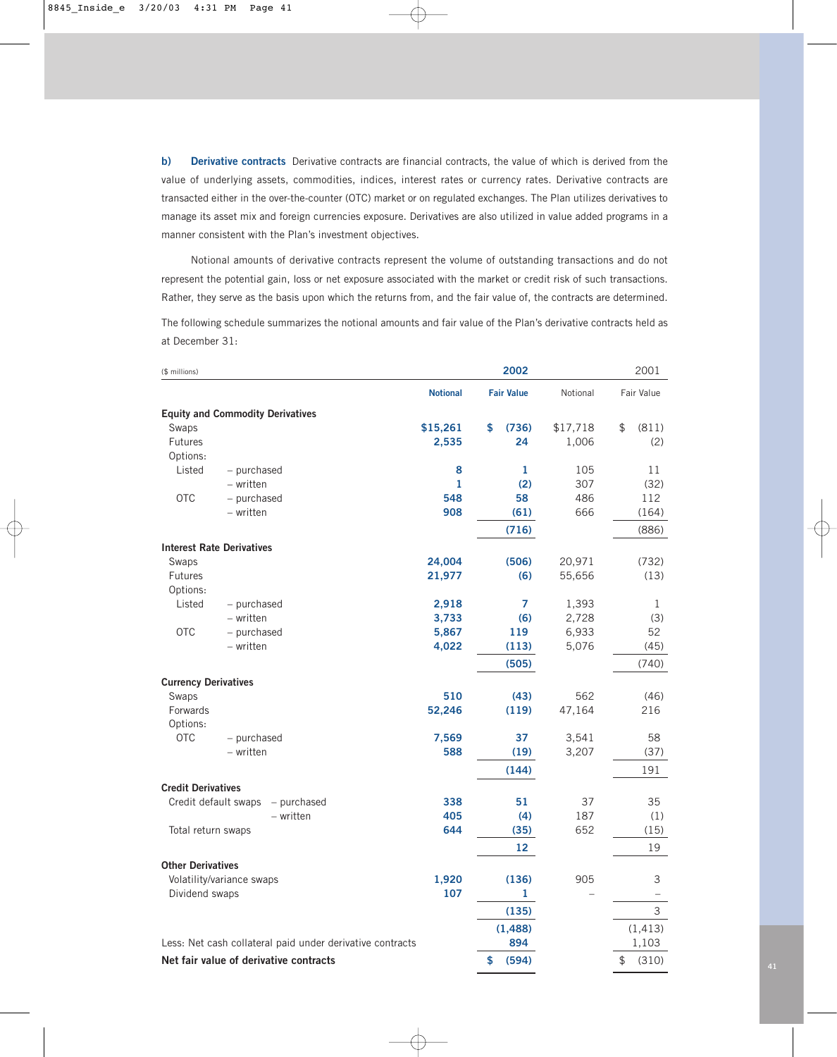**b) Derivative contracts** Derivative contracts are financial contracts, the value of which is derived from the value of underlying assets, commodities, indices, interest rates or currency rates. Derivative contracts are transacted either in the over-the-counter (OTC) market or on regulated exchanges. The Plan utilizes derivatives to manage its asset mix and foreign currencies exposure. Derivatives are also utilized in value added programs in a manner consistent with the Plan's investment objectives.

Notional amounts of derivative contracts represent the volume of outstanding transactions and do not represent the potential gain, loss or net exposure associated with the market or credit risk of such transactions. Rather, they serve as the basis upon which the returns from, and the fair value of, the contracts are determined.

The following schedule summarizes the notional amounts and fair value of the Plan's derivative contracts held as at December 31:

| (\$ millions)                           |                                                           |                 | 2002              |          | 2001                     |
|-----------------------------------------|-----------------------------------------------------------|-----------------|-------------------|----------|--------------------------|
|                                         |                                                           | <b>Notional</b> | <b>Fair Value</b> | Notional | Fair Value               |
| <b>Equity and Commodity Derivatives</b> |                                                           |                 |                   |          |                          |
| Swaps                                   |                                                           | \$15,261        | \$<br>(736)       | \$17,718 | \$<br>(811)              |
| <b>Futures</b>                          |                                                           | 2,535           | 24                | 1,006    | (2)                      |
| Options:                                |                                                           |                 |                   |          |                          |
| Listed                                  | - purchased                                               | 8               | 1                 | 105      | 11                       |
|                                         | - written                                                 | $\mathbf{1}$    | (2)               | 307      | (32)                     |
| <b>OTC</b>                              | - purchased                                               | 548             | 58                | 486      | 112                      |
|                                         | - written                                                 | 908             | (61)              | 666      | (164)                    |
|                                         |                                                           |                 | (716)             |          | (886)                    |
| <b>Interest Rate Derivatives</b>        |                                                           |                 |                   |          |                          |
| Swaps                                   |                                                           | 24,004          | (506)             | 20,971   | (732)                    |
| <b>Futures</b>                          |                                                           | 21,977          | (6)               | 55,656   | (13)                     |
| Options:                                |                                                           |                 |                   |          |                          |
| Listed                                  | - purchased                                               | 2,918           | 7                 | 1,393    | 1                        |
|                                         | - written                                                 | 3,733           | (6)               | 2,728    | (3)                      |
| <b>OTC</b>                              | - purchased                                               | 5,867           | 119               | 6,933    | 52                       |
|                                         | - written                                                 | 4,022           | (113)             | 5,076    | (45)                     |
|                                         |                                                           |                 | (505)             |          | (740)                    |
| <b>Currency Derivatives</b>             |                                                           |                 |                   |          |                          |
| Swaps                                   |                                                           | 510             | (43)              | 562      | (46)                     |
| Forwards                                |                                                           | 52,246          | (119)             | 47,164   | 216                      |
| Options:                                |                                                           |                 |                   |          |                          |
| <b>OTC</b>                              | - purchased                                               | 7,569           | 37                | 3,541    | 58                       |
|                                         | - written                                                 | 588             | (19)              | 3,207    | (37)                     |
|                                         |                                                           |                 | (144)             |          | 191                      |
| <b>Credit Derivatives</b>               |                                                           |                 |                   |          |                          |
| Credit default swaps                    | - purchased                                               | 338             | 51                | 37       | 35                       |
|                                         | - written                                                 | 405             | (4)               | 187      | (1)                      |
| Total return swaps                      |                                                           | 644             | (35)              | 652      | (15)                     |
|                                         |                                                           |                 | 12                |          | 19                       |
| <b>Other Derivatives</b>                |                                                           |                 |                   |          |                          |
| Volatility/variance swaps               |                                                           | 1,920           | (136)             | 905      | 3                        |
| Dividend swaps                          |                                                           | 107             | 1                 |          | $\overline{\phantom{0}}$ |
|                                         |                                                           |                 | (135)             |          | $\mathsf{3}$             |
|                                         |                                                           |                 | (1, 488)          |          | (1, 413)                 |
|                                         | Less: Net cash collateral paid under derivative contracts |                 | 894               |          | 1,103                    |
|                                         | Net fair value of derivative contracts                    |                 | \$<br>(594)       |          | \$<br>(310)              |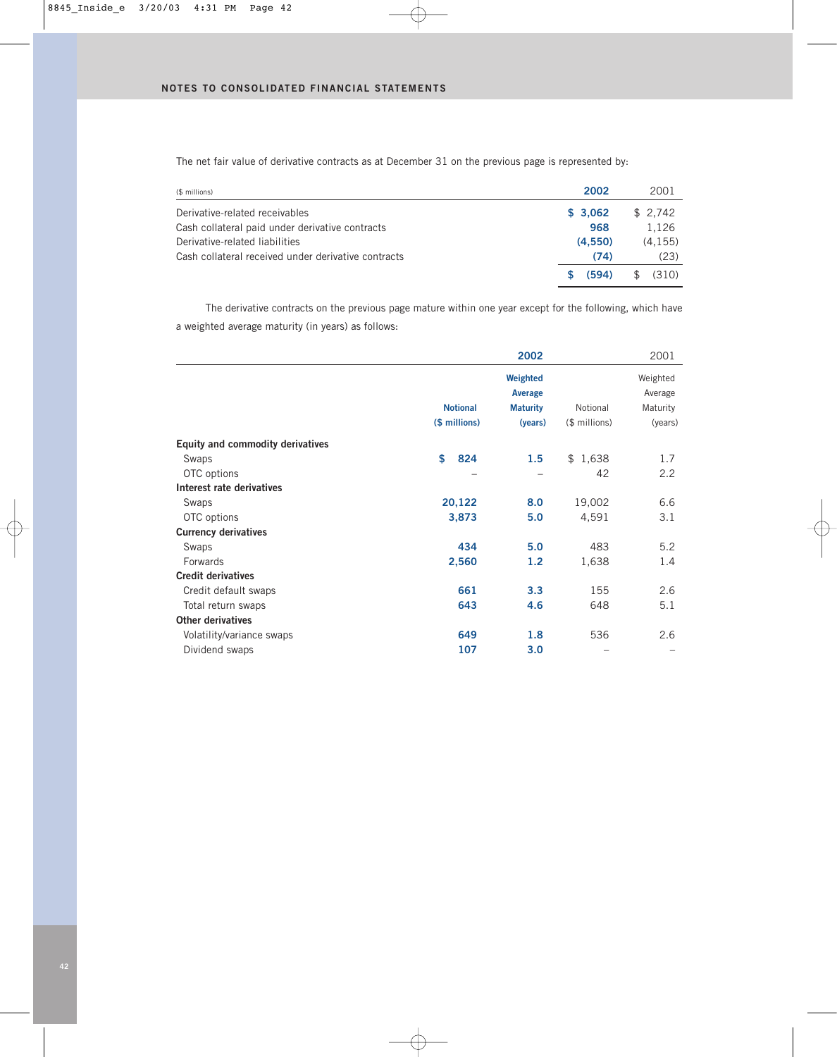The net fair value of derivative contracts as at December 31 on the previous page is represented by:

| (\$ millions)                                       | 2002    | 2001    |
|-----------------------------------------------------|---------|---------|
| Derivative-related receivables                      | \$3.062 | \$2.742 |
| Cash collateral paid under derivative contracts     | 968     | 1.126   |
| Derivative-related liabilities                      | (4.550) | (4.155) |
| Cash collateral received under derivative contracts | (74)    | (23)    |
|                                                     | (594)   | (310)   |

The derivative contracts on the previous page mature within one year except for the following, which have a weighted average maturity (in years) as follows:

|                                  |                 | 2002                |               | 2001                |
|----------------------------------|-----------------|---------------------|---------------|---------------------|
|                                  |                 | Weighted<br>Average |               | Weighted<br>Average |
|                                  | <b>Notional</b> | <b>Maturity</b>     | Notional      | Maturity            |
|                                  | (\$ millions)   | (years)             | (\$ millions) | (years)             |
| Equity and commodity derivatives |                 |                     |               |                     |
| Swaps                            | \$<br>824       | 1.5                 | \$1,638       | 1.7                 |
| OTC options                      |                 |                     | 42            | 2.2                 |
| Interest rate derivatives        |                 |                     |               |                     |
| Swaps                            | 20,122          | 8.0                 | 19,002        | 6.6                 |
| OTC options                      | 3,873           | 5.0                 | 4,591         | 3.1                 |
| <b>Currency derivatives</b>      |                 |                     |               |                     |
| Swaps                            | 434             | 5.0                 | 483           | 5.2                 |
| Forwards                         | 2,560           | 1.2                 | 1,638         | 1.4                 |
| <b>Credit derivatives</b>        |                 |                     |               |                     |
| Credit default swaps             | 661             | 3.3                 | 155           | 2.6                 |
| Total return swaps               | 643             | 4.6                 | 648           | 5.1                 |
| <b>Other derivatives</b>         |                 |                     |               |                     |
| Volatility/variance swaps        | 649             | 1.8                 | 536           | 2.6                 |
| Dividend swaps                   | 107             | 3.0                 |               |                     |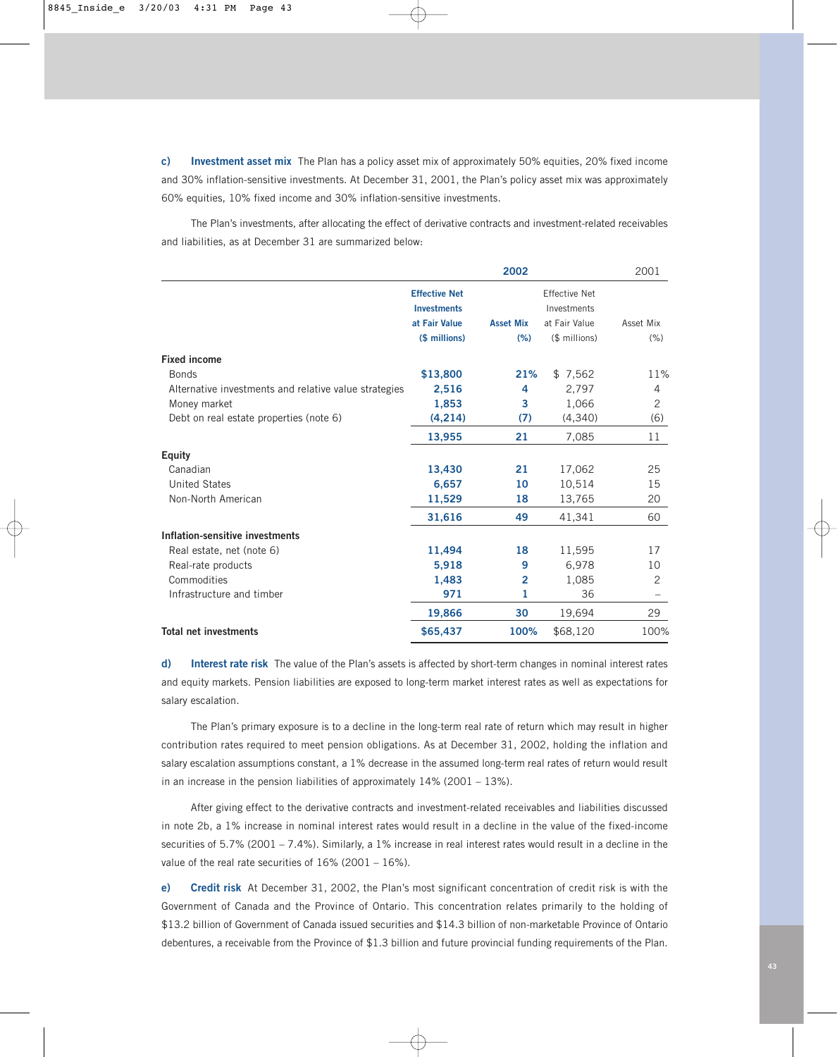**c) Investment asset mix** The Plan has a policy asset mix of approximately 50% equities, 20% fixed income and 30% inflation-sensitive investments. At December 31, 2001, the Plan's policy asset mix was approximately 60% equities, 10% fixed income and 30% inflation-sensitive investments.

The Plan's investments, after allocating the effect of derivative contracts and investment-related receivables and liabilities, as at December 31 are summarized below:

|                                                       |                      | 2002             |                      | 2001      |
|-------------------------------------------------------|----------------------|------------------|----------------------|-----------|
|                                                       | <b>Effective Net</b> |                  | <b>Effective Net</b> |           |
|                                                       | <b>Investments</b>   |                  | Investments          |           |
|                                                       | at Fair Value        | <b>Asset Mix</b> | at Fair Value        | Asset Mix |
|                                                       | (\$ millions)        | (% )             | (\$ millions)        | (% )      |
| <b>Fixed income</b>                                   |                      |                  |                      |           |
| <b>Bonds</b>                                          | \$13,800             | 21%              | \$7,562              | 11%       |
| Alternative investments and relative value strategies | 2,516                | 4                | 2,797                | 4         |
| Money market                                          | 1,853                | 3                | 1,066                | 2         |
| Debt on real estate properties (note 6)               | (4, 214)             | (7)              | (4,340)              | (6)       |
|                                                       | 13,955               | 21               | 7,085                | 11        |
| Equity                                                |                      |                  |                      |           |
| Canadian                                              | 13,430               | 21               | 17,062               | 25        |
| <b>United States</b>                                  | 6,657                | 10               | 10,514               | 15        |
| Non-North American                                    | 11,529               | 18               | 13,765               | 20        |
|                                                       | 31,616               | 49               | 41,341               | 60        |
| Inflation-sensitive investments                       |                      |                  |                      |           |
| Real estate, net (note 6)                             | 11,494               | 18               | 11,595               | 17        |
| Real-rate products                                    | 5,918                | 9                | 6,978                | 10        |
| Commodities                                           | 1,483                | $\overline{2}$   | 1,085                | 2         |
| Infrastructure and timber                             | 971                  | 1                | 36                   |           |
|                                                       | 19,866               | 30               | 19,694               | 29        |
| <b>Total net investments</b>                          | \$65,437             | 100%             | \$68,120             | 100%      |

**d) Interest rate risk** The value of the Plan's assets is affected by short-term changes in nominal interest rates and equity markets. Pension liabilities are exposed to long-term market interest rates as well as expectations for salary escalation.

The Plan's primary exposure is to a decline in the long-term real rate of return which may result in higher contribution rates required to meet pension obligations. As at December 31, 2002, holding the inflation and salary escalation assumptions constant, a 1% decrease in the assumed long-term real rates of return would result in an increase in the pension liabilities of approximately 14% (2001 – 13%).

After giving effect to the derivative contracts and investment-related receivables and liabilities discussed in note 2b, a 1% increase in nominal interest rates would result in a decline in the value of the fixed-income securities of 5.7% (2001 – 7.4%). Similarly, a 1% increase in real interest rates would result in a decline in the value of the real rate securities of 16% (2001 – 16%).

**e) Credit risk** At December 31, 2002, the Plan's most significant concentration of credit risk is with the Government of Canada and the Province of Ontario. This concentration relates primarily to the holding of \$13.2 billion of Government of Canada issued securities and \$14.3 billion of non-marketable Province of Ontario debentures, a receivable from the Province of \$1.3 billion and future provincial funding requirements of the Plan.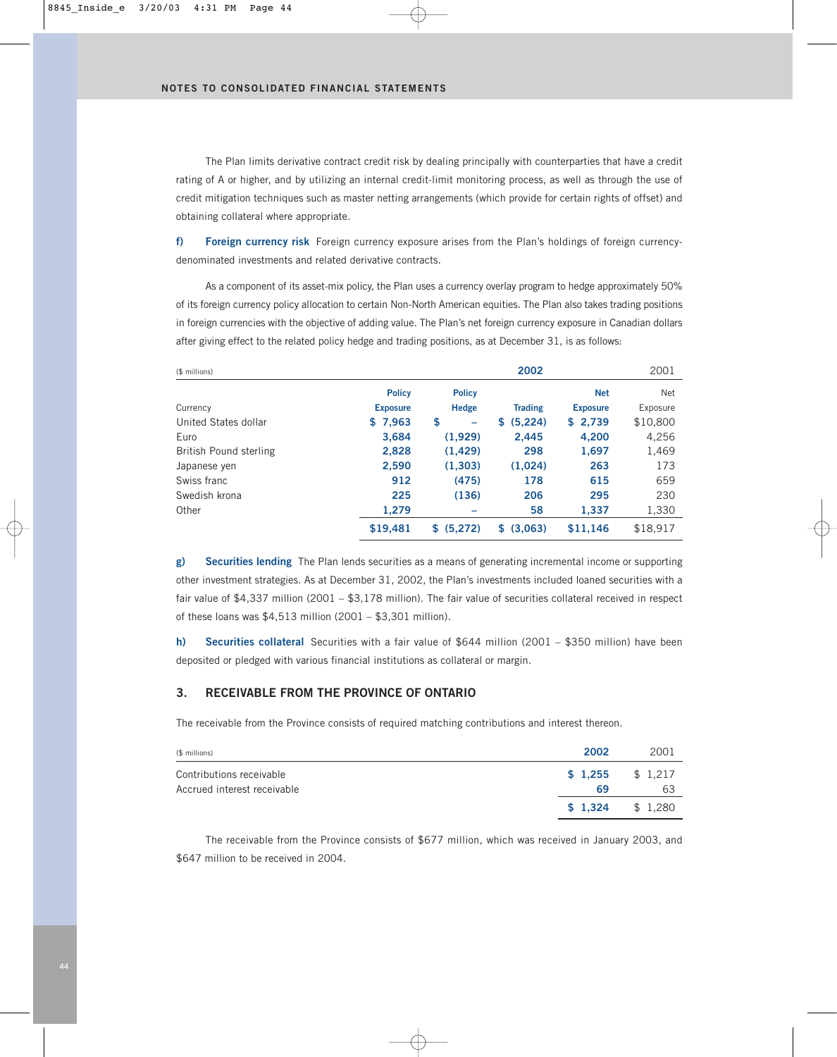The Plan limits derivative contract credit risk by dealing principally with counterparties that have a credit rating of A or higher, and by utilizing an internal credit-limit monitoring process, as well as through the use of credit mitigation techniques such as master netting arrangements (which provide for certain rights of offset) and obtaining collateral where appropriate.

**f) Foreign currency risk** Foreign currency exposure arises from the Plan's holdings of foreign currencydenominated investments and related derivative contracts.

As a component of its asset-mix policy, the Plan uses a currency overlay program to hedge approximately 50% of its foreign currency policy allocation to certain Non-North American equities. The Plan also takes trading positions in foreign currencies with the objective of adding value. The Plan's net foreign currency exposure in Canadian dollars after giving effect to the related policy hedge and trading positions, as at December 31, is as follows:

| (\$ millions)          |                 |                | 2002           |                 | 2001     |
|------------------------|-----------------|----------------|----------------|-----------------|----------|
|                        | <b>Policy</b>   | <b>Policy</b>  |                | <b>Net</b>      | Net      |
| Currency               | <b>Exposure</b> | <b>Hedge</b>   | <b>Trading</b> | <b>Exposure</b> | Exposure |
| United States dollar   | \$7,963         | \$<br>-        | (5, 224)<br>S  | \$2,739         | \$10,800 |
| Euro                   | 3,684           | (1,929)        | 2,445          | 4,200           | 4,256    |
| British Pound sterling | 2,828           | (1, 429)       | 298            | 1,697           | 1,469    |
| Japanese yen           | 2,590           | (1,303)        | (1,024)        | 263             | 173      |
| Swiss franc            | 912             | (475)          | 178            | 615             | 659      |
| Swedish krona          | 225             | (136)          | 206            | 295             | 230      |
| Other                  | 1,279           |                | 58             | 1,337           | 1,330    |
|                        | \$19,481        | (5,272)<br>\$. | (3,063)<br>S   | \$11,146        | \$18,917 |

**g) Securities lending** The Plan lends securities as a means of generating incremental income or supporting other investment strategies. As at December 31, 2002, the Plan's investments included loaned securities with a fair value of \$4,337 million (2001 – \$3,178 million). The fair value of securities collateral received in respect of these loans was \$4,513 million (2001 – \$3,301 million).

**h) Securities collateral** Securities with a fair value of \$644 million (2001 – \$350 million) have been deposited or pledged with various financial institutions as collateral or margin.

### **3. RECEIVABLE FROM THE PROVINCE OF ONTARIO**

The receivable from the Province consists of required matching contributions and interest thereon.

| (\$ millions)                                           | 2002                    | 2001 |
|---------------------------------------------------------|-------------------------|------|
| Contributions receivable<br>Accrued interest receivable | $$1.255$ $$1.217$<br>69 | 63   |
|                                                         | $$1,324$ $$1,280$       |      |

The receivable from the Province consists of \$677 million, which was received in January 2003, and \$647 million to be received in 2004.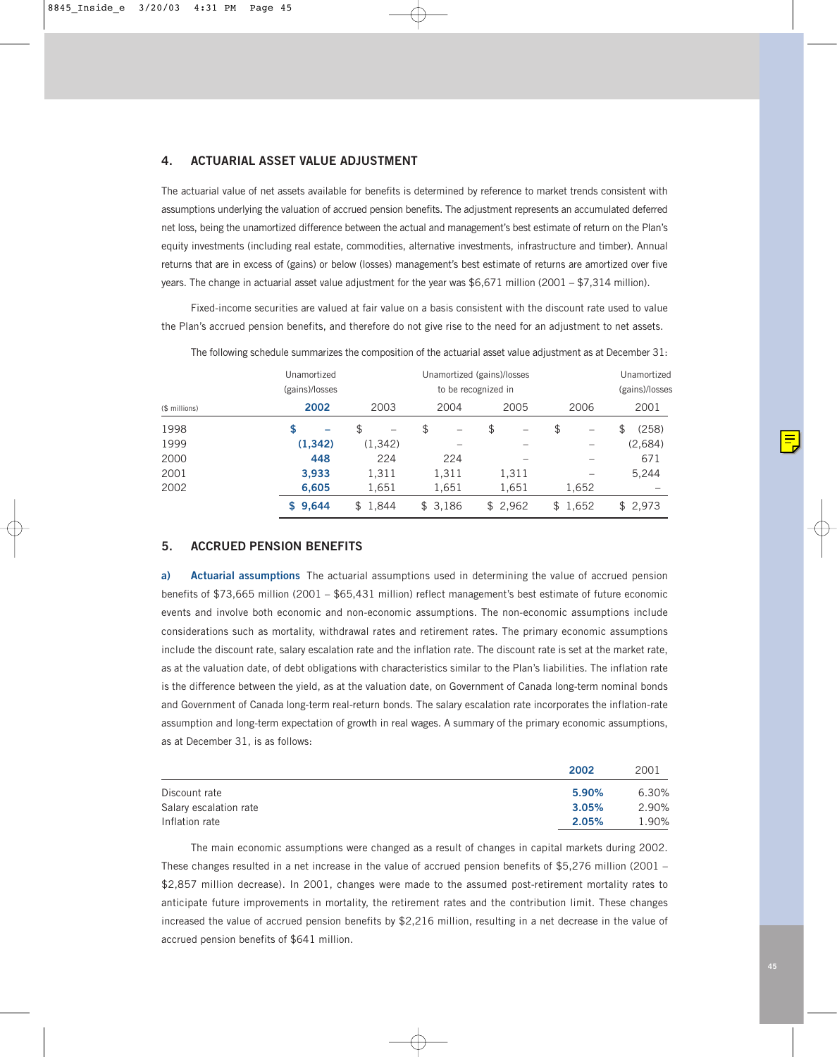### **4. ACTUARIAL ASSET VALUE ADJUSTMENT**

The actuarial value of net assets available for benefits is determined by reference to market trends consistent with assumptions underlying the valuation of accrued pension benefits. The adjustment represents an accumulated deferred net loss, being the unamortized difference between the actual and management's best estimate of return on the Plan's equity investments (including real estate, commodities, alternative investments, infrastructure and timber). Annual returns that are in excess of (gains) or below (losses) management's best estimate of returns are amortized over five years. The change in actuarial asset value adjustment for the year was \$6,671 million (2001 – \$7,314 million).

Fixed-income securities are valued at fair value on a basis consistent with the discount rate used to value the Plan's accrued pension benefits, and therefore do not give rise to the need for an adjustment to net assets.

|               | Unamortized<br>(gains)/losses |          |         | Unamortized (gains)/losses<br>to be recognized in |                                | Unamortized<br>(gains)/losses |
|---------------|-------------------------------|----------|---------|---------------------------------------------------|--------------------------------|-------------------------------|
| (\$ millions) | 2002                          | 2003     | 2004    | 2005                                              | 2006                           | 2001                          |
| 1998          | S                             | \$<br>-  | \$<br>- | \$<br>-                                           | \$<br>$\overline{\phantom{0}}$ | (258)<br>\$                   |
| 1999          | (1, 342)                      | (1, 342) |         |                                                   |                                | (2,684)                       |
| 2000          | 448                           | 224      | 224     |                                                   |                                | 671                           |
| 2001          | 3,933                         | 1,311    | 1,311   | 1,311                                             |                                | 5,244                         |
| 2002          | 6,605                         | 1,651    | 1,651   | 1,651                                             | 1,652                          |                               |
|               | \$9,644                       | \$1.844  | \$3.186 | \$2.962                                           | \$1,652                        | \$2,973                       |

The following schedule summarizes the composition of the actuarial asset value adjustment as at December 31:

### **5. ACCRUED PENSION BENEFITS**

**a) Actuarial assumptions** The actuarial assumptions used in determining the value of accrued pension benefits of \$73,665 million (2001 – \$65,431 million) reflect management's best estimate of future economic events and involve both economic and non-economic assumptions. The non-economic assumptions include considerations such as mortality, withdrawal rates and retirement rates. The primary economic assumptions include the discount rate, salary escalation rate and the inflation rate. The discount rate is set at the market rate, as at the valuation date, of debt obligations with characteristics similar to the Plan's liabilities. The inflation rate is the difference between the yield, as at the valuation date, on Government of Canada long-term nominal bonds and Government of Canada long-term real-return bonds. The salary escalation rate incorporates the inflation-rate assumption and long-term expectation of growth in real wages. A summary of the primary economic assumptions, as at December 31, is as follows:

|                        | 2002  | 2001  |
|------------------------|-------|-------|
| Discount rate          | 5.90% | 6.30% |
| Salary escalation rate | 3.05% | 2.90% |
| Inflation rate         | 2.05% | 1.90% |

The main economic assumptions were changed as a result of changes in capital markets during 2002. These changes resulted in a net increase in the value of accrued pension benefits of \$5,276 million (2001 – \$2,857 million decrease). In 2001, changes were made to the assumed post-retirement mortality rates to anticipate future improvements in mortality, the retirement rates and the contribution limit. These changes increased the value of accrued pension benefits by \$2,216 million, resulting in a net decrease in the value of accrued pension benefits of \$641 million.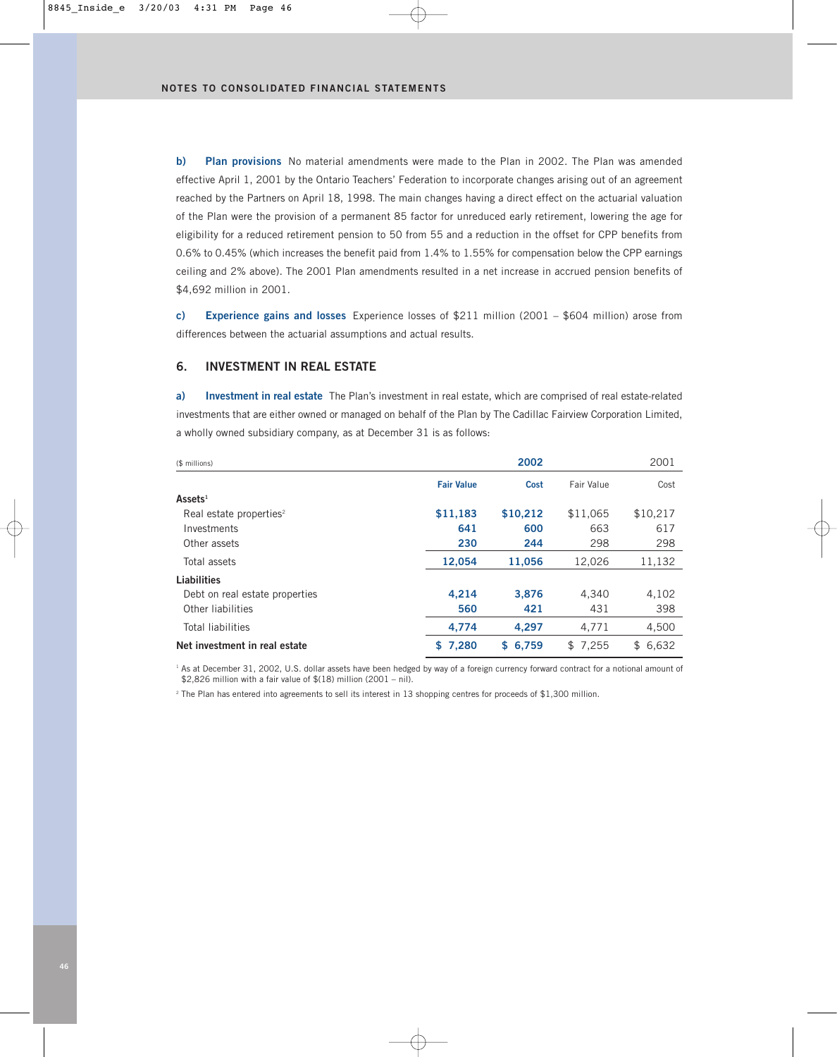**b) Plan provisions** No material amendments were made to the Plan in 2002. The Plan was amended effective April 1, 2001 by the Ontario Teachers' Federation to incorporate changes arising out of an agreement reached by the Partners on April 18, 1998. The main changes having a direct effect on the actuarial valuation of the Plan were the provision of a permanent 85 factor for unreduced early retirement, lowering the age for eligibility for a reduced retirement pension to 50 from 55 and a reduction in the offset for CPP benefits from 0.6% to 0.45% (which increases the benefit paid from 1.4% to 1.55% for compensation below the CPP earnings ceiling and 2% above). The 2001 Plan amendments resulted in a net increase in accrued pension benefits of \$4,692 million in 2001.

**c) Experience gains and losses** Experience losses of \$211 million (2001 – \$604 million) arose from differences between the actuarial assumptions and actual results.

### **6. INVESTMENT IN REAL ESTATE**

**a) Investment in real estate** The Plan's investment in real estate, which are comprised of real estate-related investments that are either owned or managed on behalf of the Plan by The Cadillac Fairview Corporation Limited, a wholly owned subsidiary company, as at December 31 is as follows:

| (\$ millions)                       |                   | 2002     |                   | 2001     |
|-------------------------------------|-------------------|----------|-------------------|----------|
|                                     | <b>Fair Value</b> | Cost     | <b>Fair Value</b> | Cost     |
| $\textsf{Assets}^1$                 |                   |          |                   |          |
| Real estate properties <sup>2</sup> | \$11,183          | \$10,212 | \$11,065          | \$10,217 |
| Investments                         | 641               | 600      | 663               | 617      |
| Other assets                        | 230               | 244      | 298               | 298      |
| Total assets                        | 12.054            | 11.056   | 12,026            | 11,132   |
| Liabilities                         |                   |          |                   |          |
| Debt on real estate properties      | 4,214             | 3.876    | 4.340             | 4,102    |
| Other liabilities                   | 560               | 421      | 431               | 398      |
| <b>Total liabilities</b>            | 4.774             | 4.297    | 4.771             | 4,500    |
| Net investment in real estate       | 7,280<br>S.       | \$6.759  | \$7.255           | \$6.632  |

<sup>1</sup> As at December 31, 2002, U.S. dollar assets have been hedged by way of a foreign currency forward contract for a notional amount of  $$2,826$  million with a fair value of  $$(18)$  million (2001 – nil).

<sup>2</sup> The Plan has entered into agreements to sell its interest in 13 shopping centres for proceeds of \$1,300 million.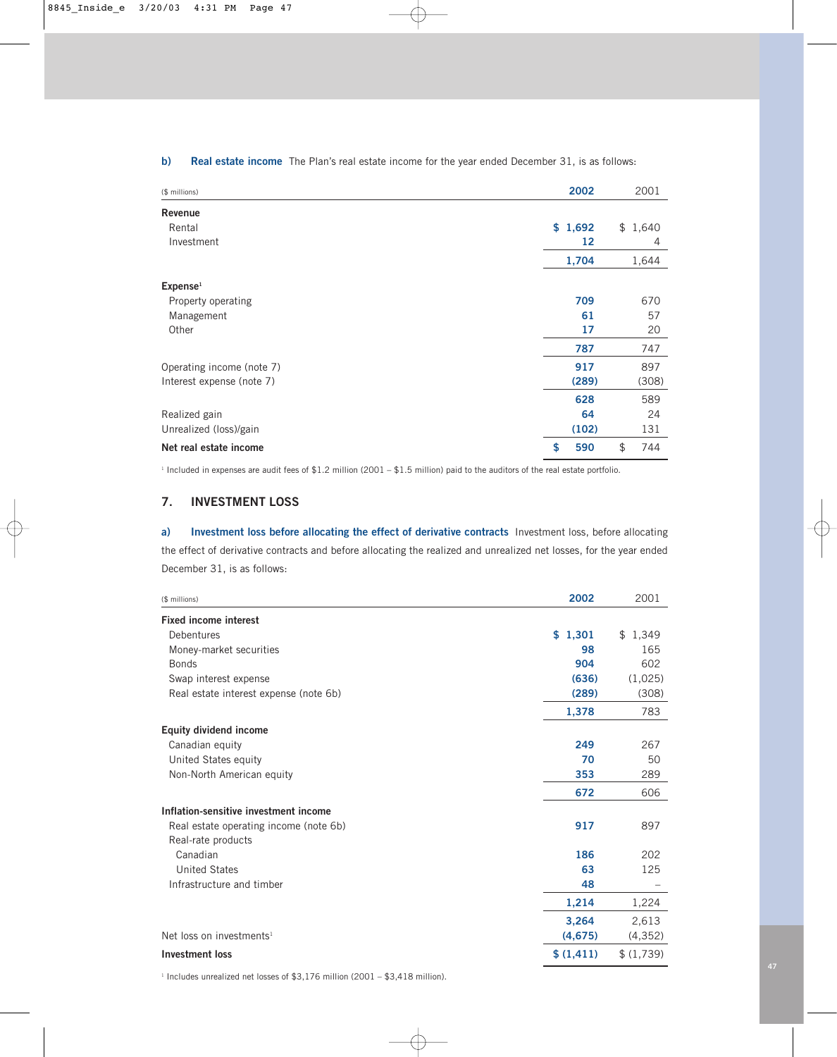| (\$ millions)             | 2002      | 2001      |
|---------------------------|-----------|-----------|
| <b>Revenue</b>            |           |           |
| Rental                    | \$1,692   | \$1,640   |
| Investment                | 12        | 4         |
|                           | 1,704     | 1,644     |
| ${\sf Expense}^1$         |           |           |
| Property operating        | 709       | 670       |
| Management                | 61        | 57        |
| Other                     | 17        | 20        |
|                           | 787       | 747       |
| Operating income (note 7) | 917       | 897       |
| Interest expense (note 7) | (289)     | (308)     |
|                           | 628       | 589       |
| Realized gain             | 64        | 24        |
| Unrealized (loss)/gain    | (102)     | 131       |
| Net real estate income    | \$<br>590 | \$<br>744 |

### **b) Real estate income** The Plan's real estate income for the year ended December 31, is as follows:

<sup>1</sup> Included in expenses are audit fees of \$1.2 million (2001 – \$1.5 million) paid to the auditors of the real estate portfolio.

## **7. INVESTMENT LOSS**

**a) Investment loss before allocating the effect of derivative contracts** Investment loss, before allocating the effect of derivative contracts and before allocating the realized and unrealized net losses, for the year ended December 31, is as follows:

| (\$ millions)                          | 2002      | 2001      |
|----------------------------------------|-----------|-----------|
| <b>Fixed income interest</b>           |           |           |
| Debentures                             | \$1,301   | \$1,349   |
| Money-market securities                | 98        | 165       |
| <b>Bonds</b>                           | 904       | 602       |
| Swap interest expense                  | (636)     | (1,025)   |
| Real estate interest expense (note 6b) | (289)     | (308)     |
|                                        | 1,378     | 783       |
| <b>Equity dividend income</b>          |           |           |
| Canadian equity                        | 249       | 267       |
| United States equity                   | 70        | 50        |
| Non-North American equity              | 353       | 289       |
|                                        | 672       | 606       |
| Inflation-sensitive investment income  |           |           |
| Real estate operating income (note 6b) | 917       | 897       |
| Real-rate products                     |           |           |
| Canadian                               | 186       | 202       |
| <b>United States</b>                   | 63        | 125       |
| Infrastructure and timber              | 48        |           |
|                                        | 1,214     | 1,224     |
|                                        | 3,264     | 2,613     |
| Net loss on investments <sup>1</sup>   | (4, 675)  | (4, 352)  |
| <b>Investment loss</b>                 | \$(1,411) | \$(1,739) |

 $1$  Includes unrealized net losses of \$3,176 million (2001 – \$3,418 million).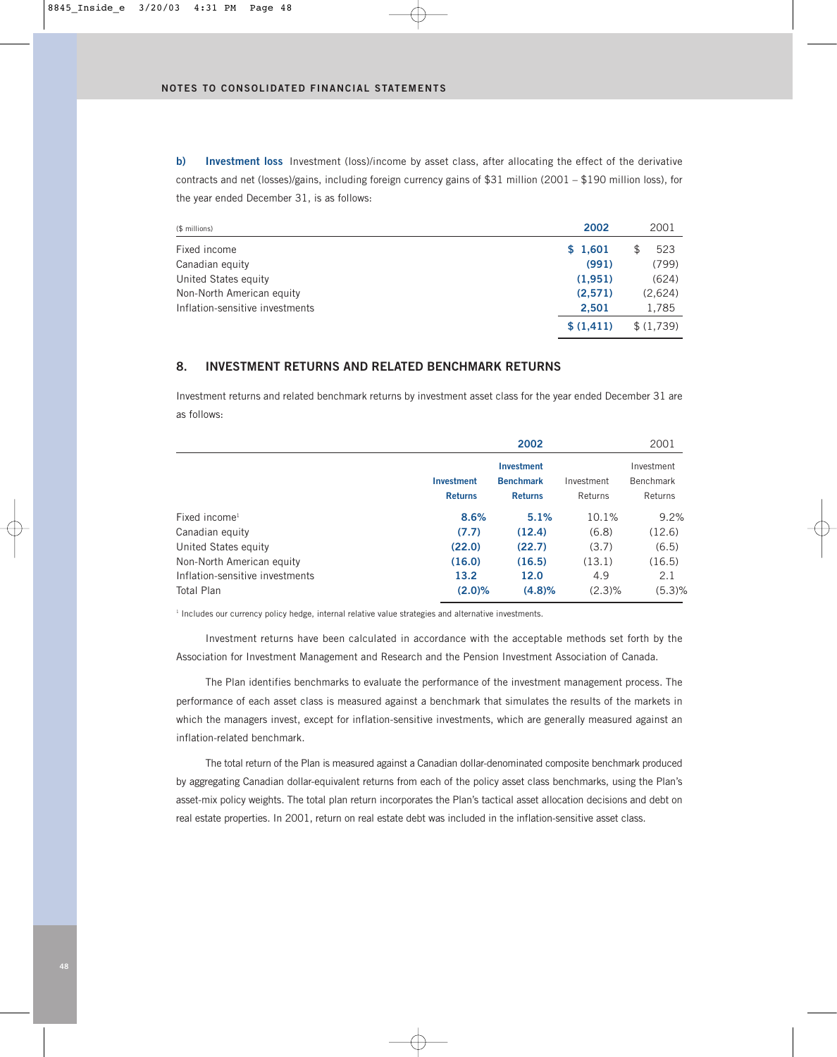**b) Investment loss** Investment (loss)/income by asset class, after allocating the effect of the derivative contracts and net (losses)/gains, including foreign currency gains of \$31 million (2001 – \$190 million loss), for the year ended December 31, is as follows:

| (\$ millions)                   | 2002      | 2001       |
|---------------------------------|-----------|------------|
| Fixed income                    | \$1,601   | 523<br>\$. |
| Canadian equity                 | (991)     | (799)      |
| United States equity            | (1,951)   | (624)      |
| Non-North American equity       | (2,571)   | (2,624)    |
| Inflation-sensitive investments | 2.501     | 1,785      |
|                                 | \$(1,411) | \$(1,739)  |

## **8. INVESTMENT RETURNS AND RELATED BENCHMARK RETURNS**

Investment returns and related benchmark returns by investment asset class for the year ended December 31 are as follows:

|                                 |                   | 2002              |            | 2001             |
|---------------------------------|-------------------|-------------------|------------|------------------|
|                                 |                   | <b>Investment</b> |            | Investment       |
|                                 | <b>Investment</b> | <b>Benchmark</b>  | Investment | <b>Benchmark</b> |
|                                 | <b>Returns</b>    | <b>Returns</b>    | Returns    | Returns          |
| $Fixed$ income <sup>1</sup>     | 8.6%              | 5.1%              | 10.1%      | 9.2%             |
| Canadian equity                 | (7.7)             | (12.4)            | (6.8)      | (12.6)           |
| United States equity            | (22.0)            | (22.7)            | (3.7)      | (6.5)            |
| Non-North American equity       | (16.0)            | (16.5)            | (13.1)     | (16.5)           |
| Inflation-sensitive investments | 13.2              | 12.0              | 4.9        | 2.1              |
| <b>Total Plan</b>               | (2.0)%            | (4.8)%            | $(2.3)\%$  | (5.3)%           |

<sup>1</sup> Includes our currency policy hedge, internal relative value strategies and alternative investments.

Investment returns have been calculated in accordance with the acceptable methods set forth by the Association for Investment Management and Research and the Pension Investment Association of Canada.

The Plan identifies benchmarks to evaluate the performance of the investment management process. The performance of each asset class is measured against a benchmark that simulates the results of the markets in which the managers invest, except for inflation-sensitive investments, which are generally measured against an inflation-related benchmark.

The total return of the Plan is measured against a Canadian dollar-denominated composite benchmark produced by aggregating Canadian dollar-equivalent returns from each of the policy asset class benchmarks, using the Plan's asset-mix policy weights. The total plan return incorporates the Plan's tactical asset allocation decisions and debt on real estate properties. In 2001, return on real estate debt was included in the inflation-sensitive asset class.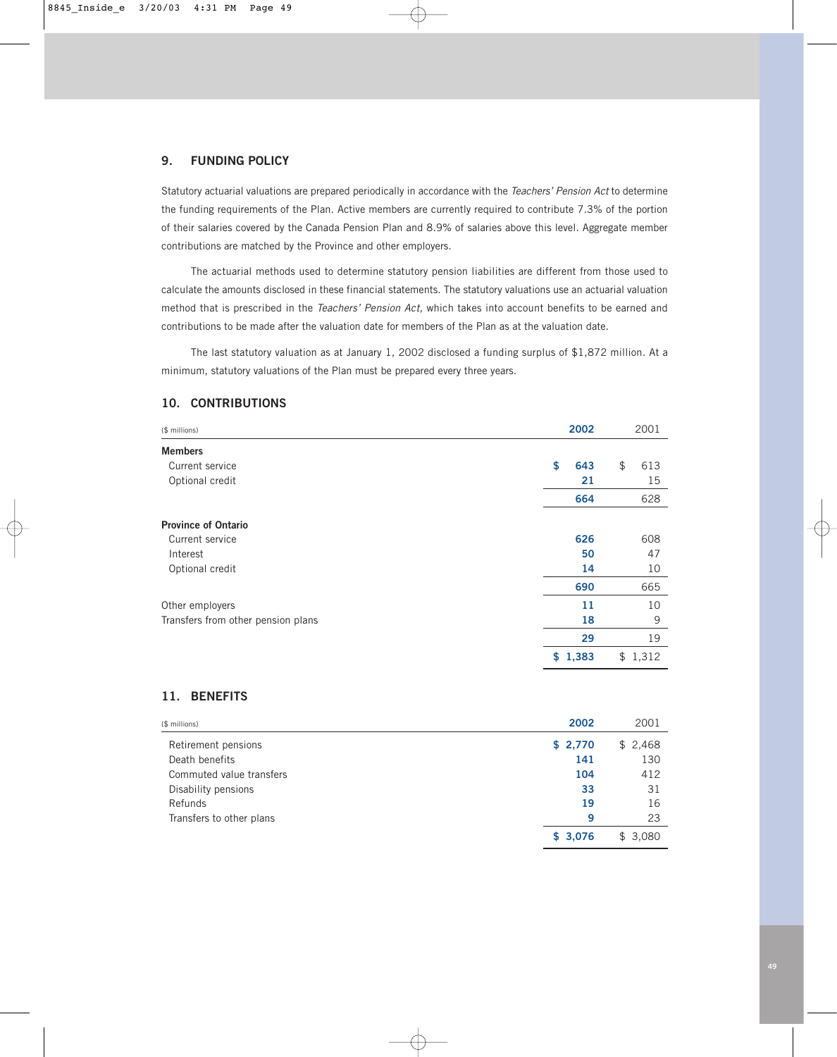### **9. FUNDING POLICY**

Statutory actuarial valuations are prepared periodically in accordance with the *Teachers' Pension Act* to determine the funding requirements of the Plan. Active members are currently required to contribute 7.3% of the portion of their salaries covered by the Canada Pension Plan and 8.9% of salaries above this level. Aggregate member contributions are matched by the Province and other employers.

The actuarial methods used to determine statutory pension liabilities are different from those used to calculate the amounts disclosed in these financial statements. The statutory valuations use an actuarial valuation method that is prescribed in the *Teachers' Pension Act,* which takes into account benefits to be earned and contributions to be made after the valuation date for members of the Plan as at the valuation date.

The last statutory valuation as at January 1, 2002 disclosed a funding surplus of \$1,872 million. At a minimum, statutory valuations of the Plan must be prepared every three years.

### **10. CONTRIBUTIONS**

| (\$ millions)                      | 2002      | 2001      |
|------------------------------------|-----------|-----------|
| <b>Members</b>                     |           |           |
| Current service                    | \$<br>643 | \$<br>613 |
| Optional credit                    | 21        | 15        |
|                                    | 664       | 628       |
| <b>Province of Ontario</b>         |           |           |
| Current service                    | 626       | 608       |
| Interest                           | 50        | 47        |
| Optional credit                    | 14        | 10        |
|                                    | 690       | 665       |
| Other employers                    | 11        | 10        |
| Transfers from other pension plans | 18        | 9         |
|                                    | 29        | 19        |
|                                    | \$1,383   | \$1,312   |

### **11. BENEFITS**

| (\$ millions)            | 2002    | 2001         |
|--------------------------|---------|--------------|
| Retirement pensions      | \$2,770 | \$2,468      |
| Death benefits           | 141     | 130          |
| Commuted value transfers | 104     | 412          |
| Disability pensions      | 33      | 31           |
| Refunds                  | 19      | 16           |
| Transfers to other plans | 9       | 23           |
|                          | \$3,076 | 3.080<br>\$. |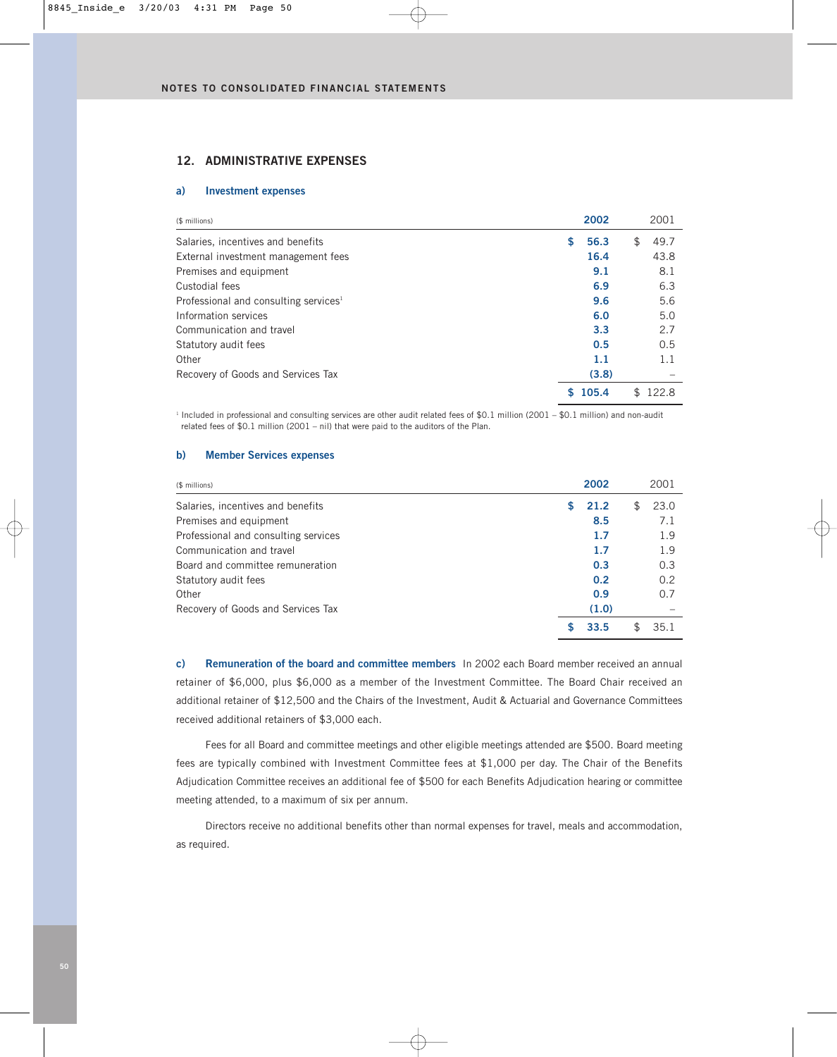### **12. ADMINISTRATIVE EXPENSES**

### **a) Investment expenses**

| (\$ millions)                                     |    | 2002  | 2001       |      |
|---------------------------------------------------|----|-------|------------|------|
| Salaries, incentives and benefits                 | \$ | 56.3  | 49.7<br>\$ |      |
| External investment management fees               |    | 16.4  |            | 43.8 |
| Premises and equipment                            |    | 9.1   |            | 8.1  |
| Custodial fees                                    |    | 6.9   |            | 6.3  |
| Professional and consulting services <sup>1</sup> |    | 9.6   |            | 5.6  |
| Information services                              |    | 6.0   |            | 5.0  |
| Communication and travel                          |    | 3.3   |            | 2.7  |
| Statutory audit fees                              |    | 0.5   |            | 0.5  |
| Other                                             |    | 1.1   |            | 1.1  |
| Recovery of Goods and Services Tax                |    | (3.8) |            |      |
|                                                   | S  | 105.4 | 122.8      |      |

<sup>1</sup> Included in professional and consulting services are other audit related fees of \$0.1 million (2001 – \$0.1 million) and non-audit related fees of \$0.1 million (2001 – nil) that were paid to the auditors of the Plan.

### **b) Member Services expenses**

| (\$ millions)                        |   | 2002  |     | 2001 |
|--------------------------------------|---|-------|-----|------|
| Salaries, incentives and benefits    | S | 21.2  | \$. | 23.0 |
| Premises and equipment               |   | 8.5   |     | 7.1  |
| Professional and consulting services |   | 1.7   |     | 1.9  |
| Communication and travel             |   | 1.7   |     | 1.9  |
| Board and committee remuneration     |   | 0.3   |     | 0.3  |
| Statutory audit fees                 |   | 0.2   |     | 0.2  |
| Other                                |   | 0.9   |     | 0.7  |
| Recovery of Goods and Services Tax   |   | (1.0) |     |      |
|                                      |   | 33.5  | £   | 35.1 |

**c) Remuneration of the board and committee members** In 2002 each Board member received an annual retainer of \$6,000, plus \$6,000 as a member of the Investment Committee. The Board Chair received an additional retainer of \$12,500 and the Chairs of the Investment, Audit & Actuarial and Governance Committees received additional retainers of \$3,000 each.

Fees for all Board and committee meetings and other eligible meetings attended are \$500. Board meeting fees are typically combined with Investment Committee fees at \$1,000 per day. The Chair of the Benefits Adjudication Committee receives an additional fee of \$500 for each Benefits Adjudication hearing or committee meeting attended, to a maximum of six per annum.

Directors receive no additional benefits other than normal expenses for travel, meals and accommodation, as required.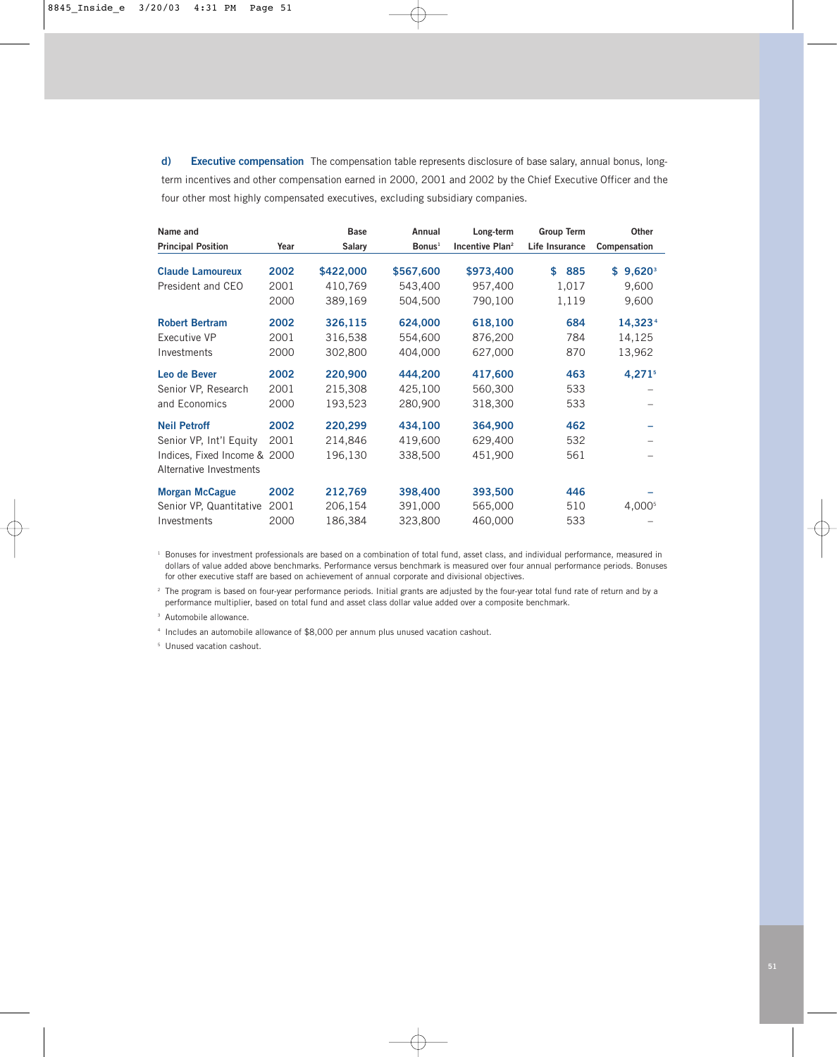**d) Executive compensation** The compensation table represents disclosure of base salary, annual bonus, longterm incentives and other compensation earned in 2000, 2001 and 2002 by the Chief Executive Officer and the four other most highly compensated executives, excluding subsidiary companies.

| Name and                     |      | <b>Base</b>   | Annual             | Long-term                   | <b>Group Term</b> | Other                 |
|------------------------------|------|---------------|--------------------|-----------------------------|-------------------|-----------------------|
| <b>Principal Position</b>    | Year | <b>Salary</b> | Bonus <sup>1</sup> | Incentive Plan <sup>2</sup> | Life Insurance    | Compensation          |
| <b>Claude Lamoureux</b>      | 2002 | \$422,000     | \$567,600          | \$973,400                   | 885<br>\$         | $$9,620$ <sup>3</sup> |
| President and CEO            | 2001 | 410,769       | 543,400            | 957,400                     | 1,017             | 9,600                 |
|                              | 2000 | 389,169       | 504,500            | 790,100                     | 1,119             | 9,600                 |
| <b>Robert Bertram</b>        | 2002 | 326,115       | 624,000            | 618,100                     | 684               | 14,323 <sup>4</sup>   |
| Executive VP                 | 2001 | 316,538       | 554,600            | 876,200                     | 784               | 14,125                |
| Investments                  | 2000 | 302,800       | 404,000            | 627,000                     | 870               | 13,962                |
| Leo de Bever                 | 2002 | 220,900       | 444,200            | 417,600                     | 463               | $4,271$ <sup>5</sup>  |
| Senior VP, Research          | 2001 | 215,308       | 425,100            | 560,300                     | 533               |                       |
| and Economics                | 2000 | 193,523       | 280,900            | 318,300                     | 533               |                       |
| <b>Neil Petroff</b>          | 2002 | 220,299       | 434,100            | 364,900                     | 462               |                       |
| Senior VP, Int'l Equity      | 2001 | 214,846       | 419,600            | 629,400                     | 532               |                       |
| Indices, Fixed Income & 2000 |      | 196,130       | 338,500            | 451,900                     | 561               |                       |
| Alternative Investments      |      |               |                    |                             |                   |                       |
| <b>Morgan McCague</b>        | 2002 | 212,769       | 398,400            | 393,500                     | 446               |                       |
| Senior VP, Quantitative      | 2001 | 206,154       | 391,000            | 565,000                     | 510               | 4,000 <sup>5</sup>    |
| Investments                  | 2000 | 186,384       | 323,800            | 460,000                     | 533               |                       |

<sup>1</sup> Bonuses for investment professionals are based on a combination of total fund, asset class, and individual performance, measured in dollars of value added above benchmarks. Performance versus benchmark is measured over four annual performance periods. Bonuses for other executive staff are based on achievement of annual corporate and divisional objectives.

<sup>2</sup> The program is based on four-year performance periods. Initial grants are adjusted by the four-year total fund rate of return and by a performance multiplier, based on total fund and asset class dollar value added over a composite benchmark.

<sup>3</sup> Automobile allowance.

<sup>4</sup> Includes an automobile allowance of \$8,000 per annum plus unused vacation cashout.

<sup>5</sup> Unused vacation cashout.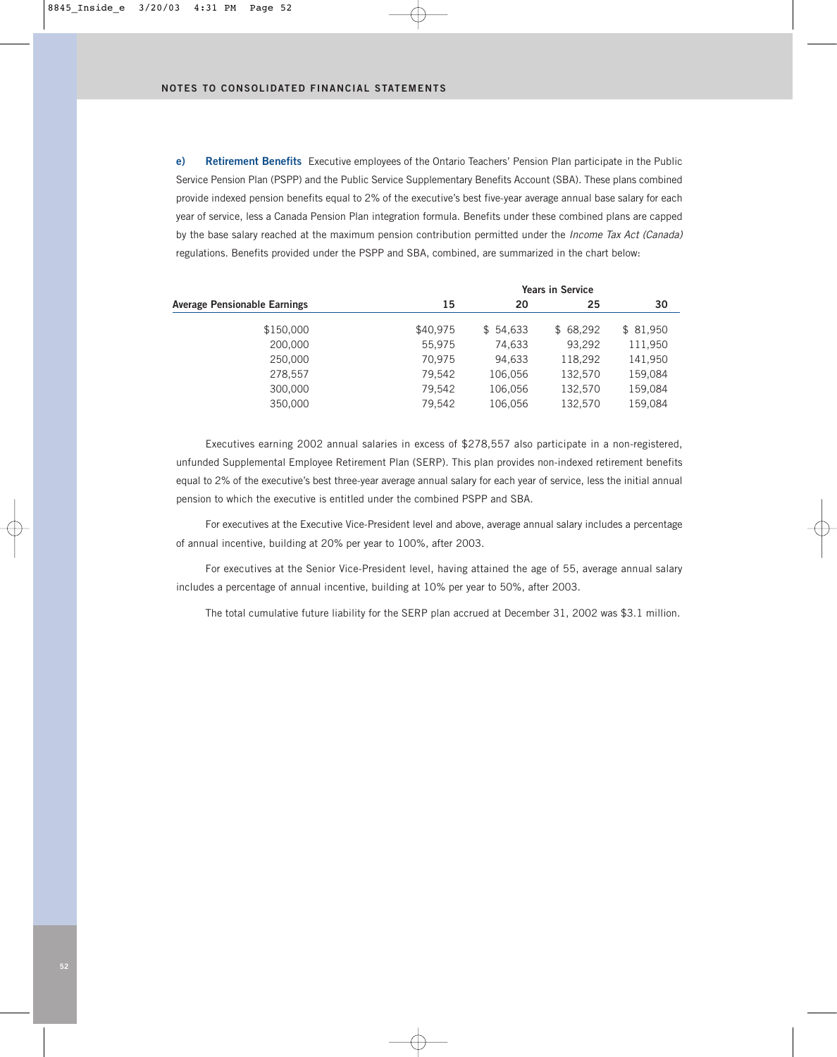**e) Retirement Benefits** Executive employees of the Ontario Teachers' Pension Plan participate in the Public Service Pension Plan (PSPP) and the Public Service Supplementary Benefits Account (SBA). These plans combined provide indexed pension benefits equal to 2% of the executive's best five-year average annual base salary for each year of service, less a Canada Pension Plan integration formula. Benefits under these combined plans are capped by the base salary reached at the maximum pension contribution permitted under the *Income Tax Act (Canada)* regulations. Benefits provided under the PSPP and SBA, combined, are summarized in the chart below:

|                                     | <b>Years in Service</b> |          |          |          |  |  |  |
|-------------------------------------|-------------------------|----------|----------|----------|--|--|--|
| <b>Average Pensionable Earnings</b> | 15                      | 20       | 25       | 30       |  |  |  |
| \$150,000                           | \$40,975                | \$54,633 | \$68,292 | \$81,950 |  |  |  |
| 200,000                             | 55.975                  | 74,633   | 93,292   | 111,950  |  |  |  |
| 250,000                             | 70.975                  | 94,633   | 118,292  | 141,950  |  |  |  |
| 278.557                             | 79.542                  | 106.056  | 132.570  | 159,084  |  |  |  |
| 300,000                             | 79.542                  | 106.056  | 132,570  | 159,084  |  |  |  |
| 350,000                             | 79.542                  | 106.056  | 132,570  | 159,084  |  |  |  |
|                                     |                         |          |          |          |  |  |  |

Executives earning 2002 annual salaries in excess of \$278,557 also participate in a non-registered, unfunded Supplemental Employee Retirement Plan (SERP). This plan provides non-indexed retirement benefits equal to 2% of the executive's best three-year average annual salary for each year of service, less the initial annual pension to which the executive is entitled under the combined PSPP and SBA.

For executives at the Executive Vice-President level and above, average annual salary includes a percentage of annual incentive, building at 20% per year to 100%, after 2003.

For executives at the Senior Vice-President level, having attained the age of 55, average annual salary includes a percentage of annual incentive, building at 10% per year to 50%, after 2003.

The total cumulative future liability for the SERP plan accrued at December 31, 2002 was \$3.1 million.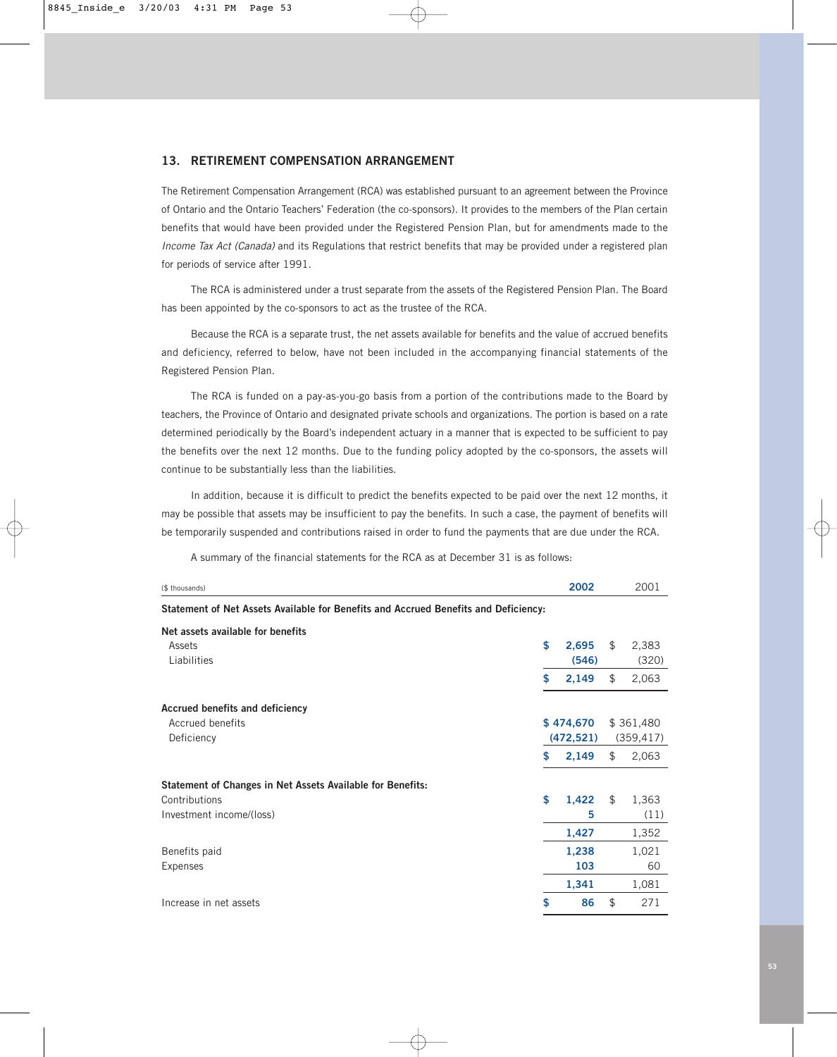### **13. RETIREMENT COMPENSATION ARRANGEMENT**

The Retirement Compensation Arrangement (RCA) was established pursuant to an agreement between the Province of Ontario and the Ontario Teachers' Federation (the co-sponsors). It provides to the members of the Plan certain benefits that would have been provided under the Registered Pension Plan, but for amendments made to the *Income Tax Act (Canada)* and its Regulations that restrict benefits that may be provided under a registered plan for periods of service after 1991.

The RCA is administered under a trust separate from the assets of the Registered Pension Plan. The Board has been appointed by the co-sponsors to act as the trustee of the RCA.

Because the RCA is a separate trust, the net assets available for benefits and the value of accrued benefits and deficiency, referred to below, have not been included in the accompanying financial statements of the Registered Pension Plan.

The RCA is funded on a pay-as-you-go basis from a portion of the contributions made to the Board by teachers, the Province of Ontario and designated private schools and organizations. The portion is based on a rate determined periodically by the Board's independent actuary in a manner that is expected to be sufficient to pay the benefits over the next 12 months. Due to the funding policy adopted by the co-sponsors, the assets will continue to be substantially less than the liabilities.

In addition, because it is difficult to predict the benefits expected to be paid over the next 12 months, it may be possible that assets may be insufficient to pay the benefits. In such a case, the payment of benefits will be temporarily suspended and contributions raised in order to fund the payments that are due under the RCA.

| (\$ thousands)                                                                      | 2002                 |    | 2001           |  |
|-------------------------------------------------------------------------------------|----------------------|----|----------------|--|
| Statement of Net Assets Available for Benefits and Accrued Benefits and Deficiency: |                      |    |                |  |
| Net assets available for benefits                                                   |                      |    |                |  |
| Assets<br>Liabilities                                                               | \$<br>2,695<br>(546) | \$ | 2,383<br>(320) |  |
|                                                                                     | \$<br>2,149          | \$ | 2,063          |  |
| <b>Accrued benefits and deficiency</b>                                              |                      |    |                |  |
| Accrued benefits                                                                    | \$474,670            |    | \$361,480      |  |
| Deficiency                                                                          | (472, 521)           |    | (359, 417)     |  |
|                                                                                     | \$<br>2,149          | \$ | 2,063          |  |
| Statement of Changes in Net Assets Available for Benefits:                          |                      |    |                |  |
| Contributions                                                                       | \$<br>1,422          | \$ | 1,363          |  |
| Investment income/(loss)                                                            | 5                    |    | (11)           |  |
|                                                                                     | 1,427                |    | 1,352          |  |
| Benefits paid                                                                       | 1,238                |    | 1,021          |  |
| Expenses                                                                            | 103                  |    | 60             |  |
|                                                                                     | 1,341                |    | 1,081          |  |
| Increase in net assets                                                              | \$<br>86             | \$ | 271            |  |

A summary of the financial statements for the RCA as at December 31 is as follows: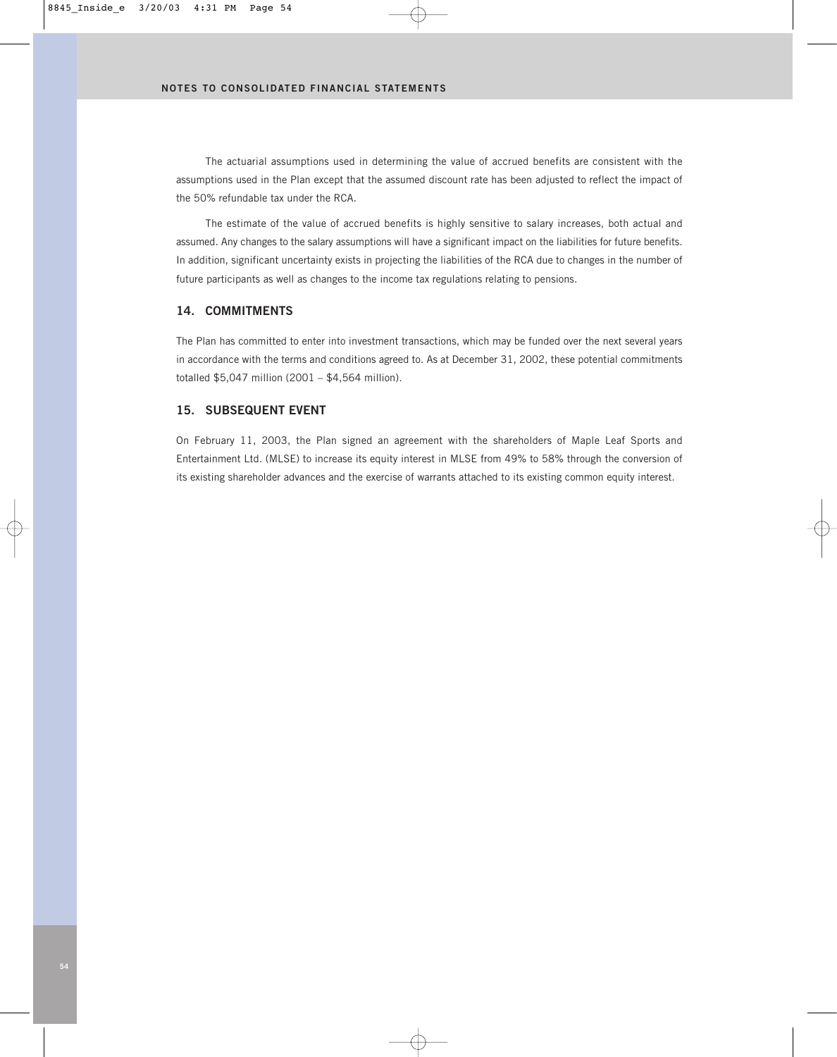The actuarial assumptions used in determining the value of accrued benefits are consistent with the assumptions used in the Plan except that the assumed discount rate has been adjusted to reflect the impact of the 50% refundable tax under the RCA.

The estimate of the value of accrued benefits is highly sensitive to salary increases, both actual and assumed. Any changes to the salary assumptions will have a significant impact on the liabilities for future benefits. In addition, significant uncertainty exists in projecting the liabilities of the RCA due to changes in the number of future participants as well as changes to the income tax regulations relating to pensions.

### **14. COMMITMENTS**

The Plan has committed to enter into investment transactions, which may be funded over the next several years in accordance with the terms and conditions agreed to. As at December 31, 2002, these potential commitments totalled \$5,047 million (2001 – \$4,564 million).

### **15. SUBSEQUENT EVENT**

On February 11, 2003, the Plan signed an agreement with the shareholders of Maple Leaf Sports and Entertainment Ltd. (MLSE) to increase its equity interest in MLSE from 49% to 58% through the conversion of its existing shareholder advances and the exercise of warrants attached to its existing common equity interest.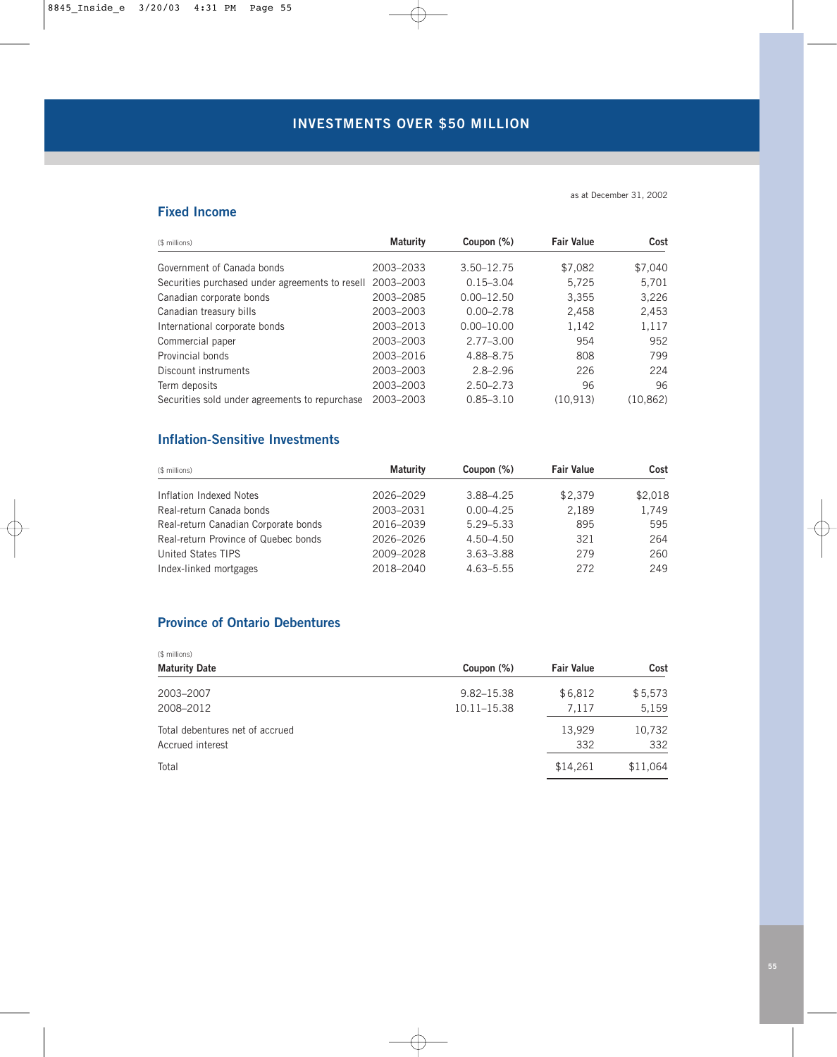# **INVESTMENTS OVER \$50 MILLION**

### as at December 31, 2002

# **Fixed Income**

| (\$ millions)                                             | <b>Maturity</b> | Coupon (%)     | <b>Fair Value</b> | Cost      |
|-----------------------------------------------------------|-----------------|----------------|-------------------|-----------|
| Government of Canada bonds                                | 2003-2033       | 3.50-12.75     | \$7,082           | \$7,040   |
| Securities purchased under agreements to resell 2003-2003 |                 | $0.15 - 3.04$  | 5,725             | 5,701     |
| Canadian corporate bonds                                  | 2003-2085       | $0.00 - 12.50$ | 3,355             | 3,226     |
| Canadian treasury bills                                   | 2003-2003       | $0.00 - 2.78$  | 2,458             | 2,453     |
| International corporate bonds                             | 2003-2013       | $0.00 - 10.00$ | 1,142             | 1,117     |
| Commercial paper                                          | 2003-2003       | $2.77 - 3.00$  | 954               | 952       |
| Provincial bonds                                          | 2003-2016       | 4.88-8.75      | 808               | 799       |
| Discount instruments                                      | 2003-2003       | $2.8 - 2.96$   | 226               | 224       |
| Term deposits                                             | 2003-2003       | $2.50 - 2.73$  | 96                | 96        |
| Securities sold under agreements to repurchase            | 2003-2003       | $0.85 - 3.10$  | (10.913)          | (10, 862) |

# **Inflation-Sensitive Investments**

| (\$ millions)                        | <b>Maturity</b> | Coupon (%)    | <b>Fair Value</b> | Cost    |
|--------------------------------------|-----------------|---------------|-------------------|---------|
| Inflation Indexed Notes              | 2026-2029       | 3.88-4.25     | \$2,379           | \$2,018 |
| Real-return Canada bonds             | 2003-2031       | $0.00 - 4.25$ | 2.189             | 1,749   |
| Real-return Canadian Corporate bonds | 2016-2039       | $5.29 - 5.33$ | 895               | 595     |
| Real-return Province of Quebec bonds | 2026-2026       | $4.50 - 4.50$ | 321               | 264     |
| United States TIPS                   | 2009-2028       | $3.63 - 3.88$ | 279               | 260     |
| Index-linked mortgages               | 2018-2040       | $4.63 - 5.55$ | 272               | 249     |

# **Province of Ontario Debentures**

| (\$ millions)                   |                |                   |          |
|---------------------------------|----------------|-------------------|----------|
| <b>Maturity Date</b>            | Coupon (%)     | <b>Fair Value</b> | Cost     |
| 2003-2007                       | $9.82 - 15.38$ | \$6,812           | \$5,573  |
| 2008-2012                       | 10.11-15.38    | 7,117             | 5,159    |
| Total debentures net of accrued |                | 13.929            | 10,732   |
| Accrued interest                |                | 332               | 332      |
| Total                           |                | \$14,261          | \$11,064 |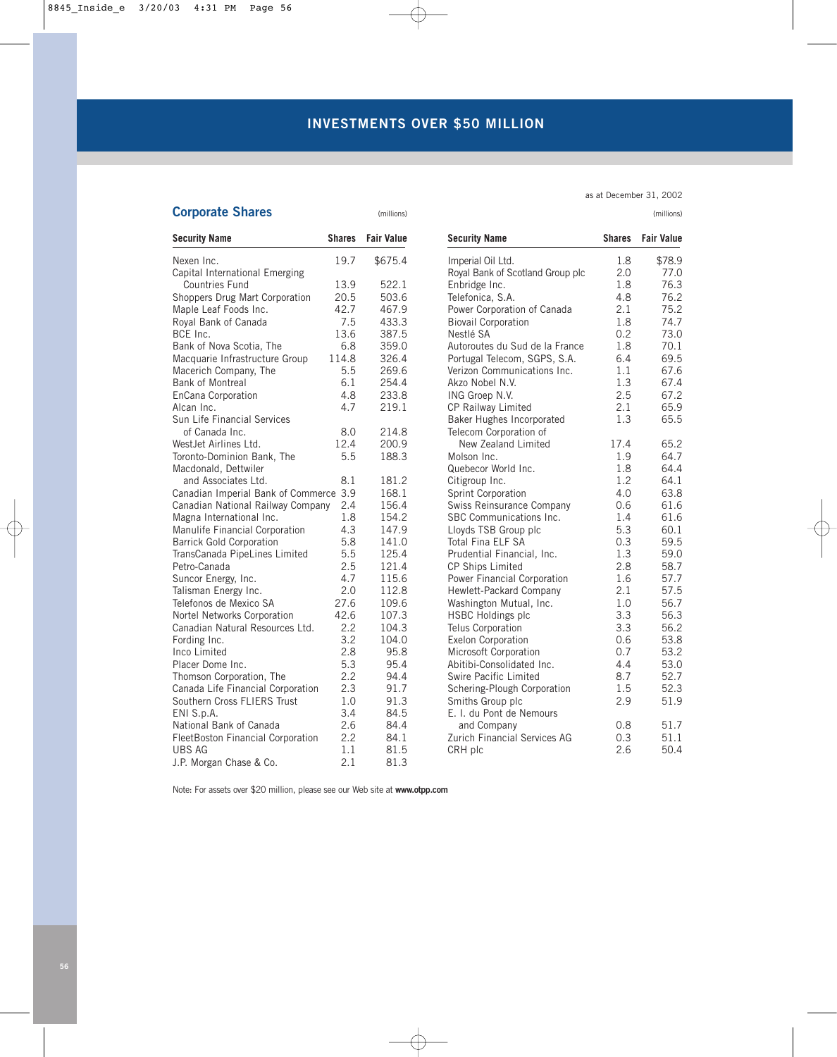| as at December 31, 2002 |  |
|-------------------------|--|
|                         |  |

| <b>Corporate Shares</b>                |               | (millions)        |                                  |               | (millions)        |
|----------------------------------------|---------------|-------------------|----------------------------------|---------------|-------------------|
| <b>Security Name</b>                   | <b>Shares</b> | <b>Fair Value</b> | <b>Security Name</b>             | <b>Shares</b> | <b>Fair Value</b> |
| Nexen Inc.                             | 19.7          | \$675.4           | Imperial Oil Ltd.                | 1.8           | \$78.9            |
| Capital International Emerging         |               |                   | Royal Bank of Scotland Group plc | 2.0           | 77.0              |
| <b>Countries Fund</b>                  | 13.9          | 522.1             | Enbridge Inc.                    | 1.8           | 76.3              |
| Shoppers Drug Mart Corporation         | 20.5          | 503.6             | Telefonica, S.A.                 | 4.8           | 76.2              |
| Maple Leaf Foods Inc.                  | 42.7          | 467.9             | Power Corporation of Canada      | 2.1           | 75.2              |
| Royal Bank of Canada                   | 7.5           | 433.3             | <b>Biovail Corporation</b>       | 1.8           | 74.7              |
| BCE Inc.                               | 13.6          | 387.5             | Nestlé SA                        | 0.2           | 73.0              |
| Bank of Nova Scotia, The               | 6.8           | 359.0             | Autoroutes du Sud de la France   | 1.8           | 70.1              |
| Macquarie Infrastructure Group         | 114.8         | 326.4             | Portugal Telecom, SGPS, S.A.     | 6.4           | 69.5              |
| Macerich Company, The                  | 5.5           | 269.6             | Verizon Communications Inc.      | 1.1           | 67.6              |
| <b>Bank of Montreal</b>                | 6.1           | 254.4             | Akzo Nobel N.V.                  | 1.3           | 67.4              |
| EnCana Corporation                     | 4.8           | 233.8             | ING Groep N.V.                   | 2.5           | 67.2              |
| Alcan Inc.                             | 4.7           | 219.1             | <b>CP Railway Limited</b>        | 2.1           | 65.9              |
| Sun Life Financial Services            |               |                   | Baker Hughes Incorporated        | 1.3           | 65.5              |
| of Canada Inc.                         | 8.0           | 214.8             | Telecom Corporation of           |               |                   |
| WestJet Airlines Ltd.                  | 12.4          | 200.9             | New Zealand Limited              | 17.4          | 65.2              |
| Toronto-Dominion Bank, The             | 5.5           | 188.3             | Molson Inc.                      | 1.9           | 64.7              |
| Macdonald, Dettwiler                   |               |                   | Quebecor World Inc.              | 1.8           | 64.4              |
| and Associates Ltd.                    | 8.1           | 181.2             | Citigroup Inc.                   | 1.2           | 64.1              |
| Canadian Imperial Bank of Commerce 3.9 |               | 168.1             | Sprint Corporation               | 4.0           | 63.8              |
| Canadian National Railway Company      | 2.4           | 156.4             | Swiss Reinsurance Company        | 0.6           | 61.6              |
| Magna International Inc.               | 1.8           | 154.2             | SBC Communications Inc.          | 1.4           | 61.6              |
| Manulife Financial Corporation         | 4.3           | 147.9             | Lloyds TSB Group plc             | 5.3           | 60.1              |
| <b>Barrick Gold Corporation</b>        | 5.8           | 141.0             | <b>Total Fina ELF SA</b>         | 0.3           | 59.5              |
| TransCanada PipeLines Limited          | 5.5           | 125.4             | Prudential Financial, Inc.       | 1.3           | 59.0              |
| Petro-Canada                           | 2.5           | 121.4             | CP Ships Limited                 | 2.8           | 58.7              |
| Suncor Energy, Inc.                    | 4.7           | 115.6             | Power Financial Corporation      | 1.6           | 57.7              |
| Talisman Energy Inc.                   | 2.0           | 112.8             | Hewlett-Packard Company          | 2.1           | 57.5              |
| Telefonos de Mexico SA                 | 27.6          | 109.6             | Washington Mutual, Inc.          | 1.0           | 56.7              |
| Nortel Networks Corporation            | 42.6          | 107.3             | <b>HSBC Holdings plc</b>         | 3.3           | 56.3              |
| Canadian Natural Resources Ltd.        | 2.2           | 104.3             | Telus Corporation                | 3.3           | 56.2              |
| Fording Inc.                           | 3.2           | 104.0             | Exelon Corporation               | 0.6           | 53.8              |
| Inco Limited                           | 2.8           | 95.8              | Microsoft Corporation            | 0.7           | 53.2              |
| Placer Dome Inc.                       | 5.3           | 95.4              | Abitibi-Consolidated Inc.        | 4.4           | 53.0              |
| Thomson Corporation, The               | 2.2           | 94.4              | Swire Pacific Limited            | 8.7           | 52.7              |
| Canada Life Financial Corporation      | 2.3           | 91.7              | Schering-Plough Corporation      | 1.5           | 52.3              |
| Southern Cross FLIERS Trust            | 1.0           | 91.3              | Smiths Group plc                 | 2.9           | 51.9              |
| ENI S.p.A.                             | 3.4           | 84.5              | E. I. du Pont de Nemours         |               |                   |
| National Bank of Canada                | 2.6           | 84.4              | and Company                      | 0.8           | 51.7              |
| FleetBoston Financial Corporation      | 2.2           | 84.1              | Zurich Financial Services AG     | 0.3           | 51.1              |
| <b>UBS AG</b>                          | 1.1           | 81.5              | CRH plc                          | 2.6           | 50.4              |
| J.P. Morgan Chase & Co.                | 2.1           | 81.3              |                                  |               |                   |

| <b>Security Name</b>             | <b>Shares</b> | <b>Fair Value</b> |
|----------------------------------|---------------|-------------------|
| Imperial Oil Ltd.                | 1.8           | \$78.9            |
| Royal Bank of Scotland Group plc | 2.0           | 77.0              |
| Enbridge Inc.                    | 1.8           | 76.3              |
| Telefonica, S.A.                 | 4.8           | 76.2              |
| Power Corporation of Canada      | 2.1           | 75.2              |
| <b>Biovail Corporation</b>       | 1.8           | 74.7              |
| Nestlé SA                        | 0.2           | 73.0              |
| Autoroutes du Sud de la France   | 1.8           | 70.1              |
| Portugal Telecom, SGPS, S.A.     | 6.4           | 69.5              |
| Verizon Communications Inc.      | 1.1           | 67.6              |
| Akzo Nobel N.V.                  | 1.3           | 67.4              |
| ING Groep N.V.                   | 2.5           | 67.2              |
| CP Railway Limited               | 2.1           | 65.9              |
| Baker Hughes Incorporated        | 1.3           | 65.5              |
| Telecom Corporation of           |               |                   |
| New Zealand Limited              | 17.4          | 65.2              |
| Molson Inc.                      | 1.9           | 64.7              |
| Quebecor World Inc.              | 1.8           | 64.4              |
| Citigroup Inc.                   | 1.2           | 64.1              |
| Sprint Corporation               | 4.0           | 63.8              |
| Swiss Reinsurance Company        | 0.6           | 61.6              |
| SBC Communications Inc.          | 1.4           | 61.6              |
| Lloyds TSB Group plc             | 5.3           | 60.1              |
| <b>Total Fina ELF SA</b>         | 0.3           | 59.5              |
| Prudential Financial, Inc.       | 1.3           | 59.0              |
| <b>CP Ships Limited</b>          | 2.8           | 58.7              |
| Power Financial Corporation      | 1.6           | 57.7              |
| Hewlett-Packard Company          | 2.1           | 57.5              |
| Washington Mutual, Inc.          | 1.0           | 56.7              |
| <b>HSBC Holdings plc</b>         | 3.3           | 56.3              |
| Telus Corporation                | 3.3           | 56.2              |
| <b>Exelon Corporation</b>        | 0.6           | 53.8              |
| Microsoft Corporation            | 0.7           | 53.2              |
| Abitibi-Consolidated Inc.        | 4.4           | 53.0              |
| Swire Pacific Limited            | 8.7           | 52.7              |
| Schering-Plough Corporation      | 1.5           | 52.3              |
| Smiths Group plc                 | 2.9           | 51.9              |
| E. I. du Pont de Nemours         |               |                   |
| and Company                      | 0.8           | 51.7              |
| Zurich Financial Services AG     | 0.3           | 51.1              |

Note: For assets over \$20 million, please see our Web site at **www.otpp.com**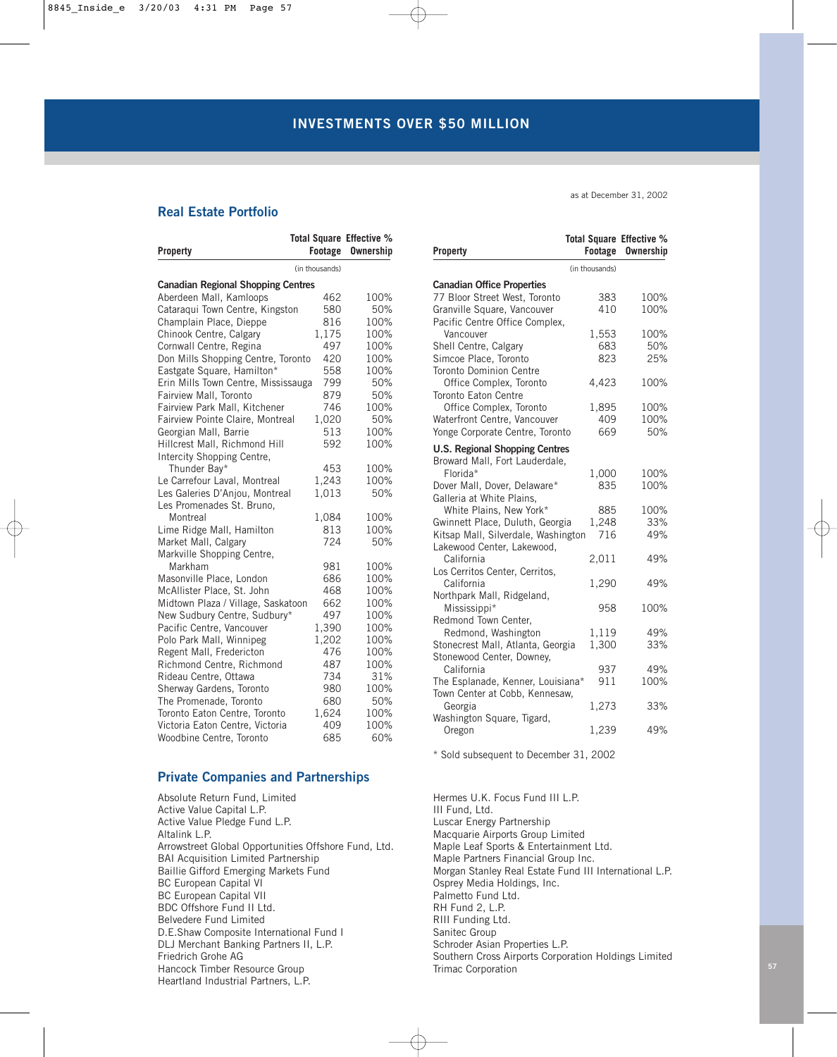# **Real Estate Portfolio**

|                                           | Total Square Effective % |                  |
|-------------------------------------------|--------------------------|------------------|
| <b>Property</b>                           | Footage                  | <b>Ownership</b> |
|                                           | (in thousands)           |                  |
| <b>Canadian Regional Shopping Centres</b> |                          |                  |
| Aberdeen Mall, Kamloops                   | 462                      | 100%             |
| Cataraqui Town Centre, Kingston           | 580                      | 50%              |
| Champlain Place, Dieppe                   | 816                      | 100%             |
| Chinook Centre, Calgary                   | 1,175                    | 100%             |
| Cornwall Centre, Regina                   | 497                      | 100%             |
| Don Mills Shopping Centre, Toronto        | 420                      | 100%             |
| Eastgate Square, Hamilton*                | 558                      | 100%             |
| Erin Mills Town Centre, Mississauga       | 799                      | 50%              |
| Fairview Mall, Toronto                    | 879                      | 50%              |
| Fairview Park Mall, Kitchener             | 746                      | 100%             |
| Fairview Pointe Claire, Montreal          | 1,020                    | 50%              |
| Georgian Mall, Barrie                     | 513                      | 100%             |
| Hillcrest Mall, Richmond Hill             | 592                      | 100%             |
| Intercity Shopping Centre,                |                          |                  |
| Thunder Bay*                              | 453                      | 100%             |
| Le Carrefour Laval, Montreal              | 1,243                    | 100%             |
| Les Galeries D'Anjou, Montreal            | 1,013                    | 50%              |
| Les Promenades St. Bruno,                 |                          |                  |
| Montreal                                  | 1,084                    | 100%             |
| Lime Ridge Mall, Hamilton                 | 813                      | 100%             |
| Market Mall, Calgary                      | 724                      | 50%              |
| Markville Shopping Centre,                |                          |                  |
| Markham                                   | 981                      | 100%             |
| Masonville Place, London                  | 686                      | 100%             |
| McAllister Place, St. John                | 468                      | 100%             |
| Midtown Plaza / Village, Saskatoon        | 662                      | 100%             |
| New Sudbury Centre, Sudbury*              | 497                      | 100%             |
| Pacific Centre, Vancouver                 | 1,390                    | 100%             |
| Polo Park Mall, Winnipeg                  | 1,202                    | 100%             |
| Regent Mall, Fredericton                  | 476                      | 100%             |
| Richmond Centre, Richmond                 | 487                      | 100%             |
| Rideau Centre, Ottawa                     | 734                      | 31%              |
| Sherway Gardens, Toronto                  | 980                      | 100%             |
| The Promenade, Toronto                    | 680                      | 50%              |
| Toronto Eaton Centre, Toronto             | 1,624                    | 100%             |
| Victoria Eaton Centre, Victoria           | 409                      | 100%             |
| Woodbine Centre, Toronto                  | 685                      | 60%              |

### **Private Companies and Partnerships**

Absolute Return Fund, Limited Active Value Capital L.P. Active Value Pledge Fund L.P. Altalink L.P. Arrowstreet Global Opportunities Offshore Fund, Ltd. BAI Acquisition Limited Partnership Baillie Gifford Emerging Markets Fund BC European Capital VI BC European Capital VII BDC Offshore Fund II Ltd. Belvedere Fund Limited D.E.Shaw Composite International Fund I DLJ Merchant Banking Partners II, L.P. Friedrich Grohe AG Hancock Timber Resource Group Heartland Industrial Partners, L.P.

as at December 31, 2002

| Property                                                                                                                            | Total Square Effective %<br>Footage | <b>Ownership</b>    |
|-------------------------------------------------------------------------------------------------------------------------------------|-------------------------------------|---------------------|
|                                                                                                                                     | (in thousands)                      |                     |
| <b>Canadian Office Properties</b><br>77 Bloor Street West, Toronto<br>Granville Square, Vancouver<br>Pacific Centre Office Complex, | 383<br>410                          | 100%<br>100%        |
| Vancouver<br>Shell Centre, Calgary<br>Simcoe Place, Toronto<br><b>Toronto Dominion Centre</b>                                       | 1,553<br>683<br>823                 | 100%<br>50%<br>25%  |
| Office Complex, Toronto<br>Toronto Eaton Centre                                                                                     | 4,423                               | 100%                |
| Office Complex, Toronto<br>Waterfront Centre, Vancouver<br>Yonge Corporate Centre, Toronto                                          | 1,895<br>409<br>669                 | 100%<br>100%<br>50% |
| <b>U.S. Regional Shopping Centres</b><br>Broward Mall, Fort Lauderdale,                                                             |                                     |                     |
| Florida*<br>Dover Mall, Dover, Delaware*<br>Galleria at White Plains.                                                               | 1,000<br>835                        | 100%<br>100%        |
| White Plains, New York*<br>Gwinnett Place, Duluth, Georgia<br>Kitsap Mall, Silverdale, Washington                                   | 885<br>1,248<br>716                 | 100%<br>33%<br>49%  |
| Lakewood Center, Lakewood,<br>California<br>Los Cerritos Center, Cerritos,                                                          | 2,011                               | 49%                 |
| California<br>Northpark Mall, Ridgeland,                                                                                            | 1,290                               | 49%                 |
| Mississippi*<br>Redmond Town Center,                                                                                                | 958                                 | 100%                |
| Redmond, Washington<br>Stonecrest Mall, Atlanta, Georgia<br>Stonewood Center, Downey,                                               | 1,119<br>1,300                      | 49%<br>33%          |
| California<br>The Esplanade, Kenner, Louisiana*<br>Town Center at Cobb, Kennesaw,                                                   | 937<br>911                          | 49%<br>100%         |
| Georgia<br>Washington Square, Tigard,                                                                                               | 1,273                               | 33%                 |
| Oregon                                                                                                                              | 1,239                               | 49%                 |

\* Sold subsequent to December 31, 2002

Hermes U.K. Focus Fund III L.P. III Fund, Ltd. Luscar Energy Partnership Macquarie Airports Group Limited Maple Leaf Sports & Entertainment Ltd. Maple Partners Financial Group Inc. Morgan Stanley Real Estate Fund III International L.P. Osprey Media Holdings, Inc. Palmetto Fund Ltd. RH Fund 2, L.P. RIII Funding Ltd. Sanitec Group Schroder Asian Properties L.P. Southern Cross Airports Corporation Holdings Limited Trimac Corporation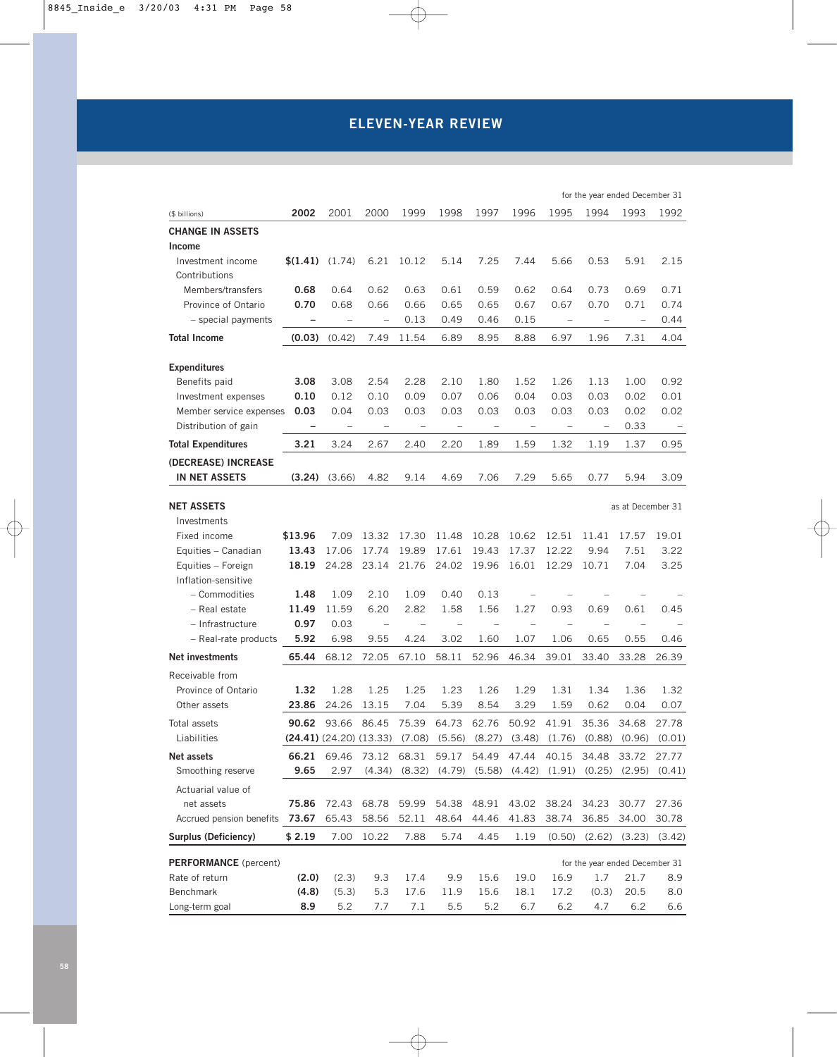# **ELEVEN-YEAR REVIEW**

|                                        |                                                                                   |                          |                          |                          |                                   |                          |                          |                                     | for the year ended December 31 |                   |                          |
|----------------------------------------|-----------------------------------------------------------------------------------|--------------------------|--------------------------|--------------------------|-----------------------------------|--------------------------|--------------------------|-------------------------------------|--------------------------------|-------------------|--------------------------|
| (\$ billions)                          | 2002                                                                              | 2001                     | 2000                     | 1999                     | 1998                              | 1997                     | 1996                     | 1995                                | 1994                           | 1993              | 1992                     |
| <b>CHANGE IN ASSETS</b>                |                                                                                   |                          |                          |                          |                                   |                          |                          |                                     |                                |                   |                          |
| Income                                 |                                                                                   |                          |                          |                          |                                   |                          |                          |                                     |                                |                   |                          |
| Investment income                      | $(1.41)$ $(1.74)$                                                                 |                          | 6.21                     | 10.12                    | 5.14                              | 7.25                     | 7.44                     | 5.66                                | 0.53                           | 5.91              | 2.15                     |
| Contributions                          |                                                                                   |                          |                          |                          |                                   |                          |                          |                                     |                                |                   |                          |
| Members/transfers                      | 0.68                                                                              | 0.64                     | 0.62                     | 0.63                     | 0.61                              | 0.59                     | 0.62                     | 0.64                                | 0.73                           | 0.69              | 0.71                     |
| Province of Ontario                    | 0.70                                                                              | 0.68                     | 0.66                     | 0.66                     | 0.65                              | 0.65                     | 0.67                     | 0.67                                | 0.70                           | 0.71              | 0.74                     |
| - special payments                     |                                                                                   | $\qquad \qquad -$        | $\qquad \qquad -$        | 0.13                     | 0.49                              | 0.46                     | 0.15                     | $\qquad \qquad -$                   |                                |                   | 0.44                     |
| <b>Total Income</b>                    | (0.03)                                                                            | (0.42)                   | 7.49                     | 11.54                    | 6.89                              | 8.95                     | 8.88                     | 6.97                                | 1.96                           | 7.31              | 4.04                     |
| <b>Expenditures</b>                    |                                                                                   |                          |                          |                          |                                   |                          |                          |                                     |                                |                   |                          |
| Benefits paid                          | 3.08                                                                              | 3.08                     | 2.54                     | 2.28                     | 2.10                              | 1.80                     | 1.52                     | 1.26                                | 1.13                           | 1.00              | 0.92                     |
| Investment expenses                    | 0.10                                                                              | 0.12                     | 0.10                     | 0.09                     | 0.07                              | 0.06                     | 0.04                     | 0.03                                | 0.03                           | 0.02              | 0.01                     |
| Member service expenses                | 0.03                                                                              | 0.04                     | 0.03                     | 0.03                     | 0.03                              | 0.03                     | 0.03                     | 0.03                                | 0.03                           | 0.02              | 0.02                     |
| Distribution of gain                   | $\qquad \qquad -$                                                                 | $\overline{\phantom{a}}$ | $\overline{\phantom{a}}$ | $\overline{\phantom{a}}$ | $\hspace{1.0cm} - \hspace{1.0cm}$ | $\overline{\phantom{a}}$ | $\overline{\phantom{a}}$ | $\overline{\phantom{a}}$            | $\overline{\phantom{a}}$       | 0.33              | $\overline{\phantom{a}}$ |
| <b>Total Expenditures</b>              | 3.21                                                                              | 3.24                     | 2.67                     | 2.40                     | 2.20                              | 1.89                     | 1.59                     | 1.32                                | 1.19                           | 1.37              | 0.95                     |
| (DECREASE) INCREASE                    |                                                                                   |                          |                          |                          |                                   |                          |                          |                                     |                                |                   |                          |
| <b>IN NET ASSETS</b>                   |                                                                                   | $(3.24)$ $(3.66)$        | 4.82                     | 9.14                     | 4.69                              | 7.06                     | 7.29                     | 5.65                                | 0.77                           | 5.94              | 3.09                     |
|                                        |                                                                                   |                          |                          |                          |                                   |                          |                          |                                     |                                |                   |                          |
| <b>NET ASSETS</b>                      |                                                                                   |                          |                          |                          |                                   |                          |                          |                                     |                                | as at December 31 |                          |
| Investments                            |                                                                                   |                          | 13.32                    | 17.30                    | 11.48                             | 10.28                    |                          |                                     |                                |                   |                          |
| Fixed income<br>Equities - Canadian    | \$13.96<br>13.43                                                                  | 7.09<br>17.06            | 17.74                    | 19.89                    | 17.61                             | 19.43                    | 10.62<br>17.37           | 12.51<br>12.22                      | 11.41<br>9.94                  | 17.57<br>7.51     | 19.01<br>3.22            |
| Equities - Foreign                     | 18.19                                                                             | 24.28                    | 23.14                    | 21.76                    | 24.02                             | 19.96                    | 16.01                    | 12.29                               | 10.71                          | 7.04              | 3.25                     |
| Inflation-sensitive                    |                                                                                   |                          |                          |                          |                                   |                          |                          |                                     |                                |                   |                          |
| - Commodities                          | 1.48                                                                              | 1.09                     | 2.10                     | 1.09                     | 0.40                              | 0.13                     |                          |                                     |                                |                   |                          |
| - Real estate                          | 11.49                                                                             | 11.59                    | 6.20                     | 2.82                     | 1.58                              | 1.56                     | 1.27                     | 0.93                                | 0.69                           | 0.61              | 0.45                     |
| - Infrastructure                       | 0.97                                                                              | 0.03                     | $\qquad \qquad -$        |                          |                                   | $\qquad \qquad -$        | $\overline{\phantom{0}}$ |                                     |                                |                   |                          |
| - Real-rate products                   | 5.92                                                                              | 6.98                     | 9.55                     | 4.24                     | 3.02                              | 1.60                     | 1.07                     | 1.06                                | 0.65                           | 0.55              | 0.46                     |
| Net investments                        | 65.44                                                                             | 68.12                    | 72.05                    | 67.10                    | 58.11                             | 52.96                    | 46.34                    | 39.01                               | 33.40                          | 33.28             | 26.39                    |
|                                        |                                                                                   |                          |                          |                          |                                   |                          |                          |                                     |                                |                   |                          |
| Receivable from<br>Province of Ontario | 1.32                                                                              | 1.28                     | 1.25                     | 1.25                     | 1.23                              | 1.26                     | 1.29                     | 1.31                                | 1.34                           | 1.36              | 1.32                     |
| Other assets                           | 23.86                                                                             | 24.26                    | 13.15                    | 7.04                     | 5.39                              | 8.54                     | 3.29                     | 1.59                                | 0.62                           | 0.04              | 0.07                     |
|                                        |                                                                                   |                          |                          |                          |                                   |                          |                          |                                     |                                |                   |                          |
| Total assets<br>Liabilities            | $(24.41)$ (24.20) (13.33) (7.08) (5.56) (8.27) (3.48) (1.76) (0.88) (0.96) (0.01) | <b>90.62</b> 93.66 86.45 |                          | 75.39                    | 64.73 62.76                       |                          | 50.92 41.91              |                                     | 35.36                          | 34.68             | 27.78                    |
| Net assets                             |                                                                                   |                          | 73.12                    | 68.31                    | 59.17                             | 54.49                    | 47.44                    | 40.15                               |                                |                   |                          |
| Smoothing reserve                      | 66.21<br>9.65                                                                     | 69.46<br>2.97            | (4.34)                   | (8.32)                   |                                   |                          |                          | $(4.79)$ $(5.58)$ $(4.42)$ $(1.91)$ | 34.48<br>(0.25)                | 33.72<br>(2.95)   | 27.77<br>(0.41)          |
| Actuarial value of                     |                                                                                   |                          |                          |                          |                                   |                          |                          |                                     |                                |                   |                          |
| net assets                             | 75.86                                                                             | 72.43                    | 68.78                    | 59.99                    | 54.38                             | 48.91                    | 43.02                    | 38.24                               | 34.23                          | 30.77             | 27.36                    |
| Accrued pension benefits               | 73.67                                                                             | 65.43                    | 58.56                    | 52.11                    | 48.64                             | 44.46                    | 41.83                    | 38.74                               | 36.85                          | 34.00             | 30.78                    |
| Surplus (Deficiency)                   | \$2.19                                                                            | 7.00                     | 10.22                    | 7.88                     | 5.74                              | 4.45                     | 1.19                     | (0.50)                              | (2.62)                         | (3.23)            | (3.42)                   |
|                                        |                                                                                   |                          |                          |                          |                                   |                          |                          |                                     |                                |                   |                          |
| <b>PERFORMANCE</b> (percent)           |                                                                                   |                          |                          |                          |                                   |                          |                          |                                     | for the year ended December 31 |                   |                          |
| Rate of return                         | (2.0)                                                                             | (2.3)                    | 9.3                      | 17.4                     | 9.9                               | 15.6                     | 19.0                     | 16.9                                | 1.7                            | 21.7              | 8.9                      |
| Benchmark                              | (4.8)                                                                             | (5.3)                    | 5.3                      | 17.6                     | 11.9                              | 15.6                     | 18.1                     | 17.2                                | (0.3)                          | 20.5              | 8.0                      |
| Long-term goal                         | 8.9                                                                               | 5.2                      | 7.7                      | 7.1                      | 5.5                               | 5.2                      | 6.7                      | 6.2                                 | 4.7                            | 6.2               | 6.6                      |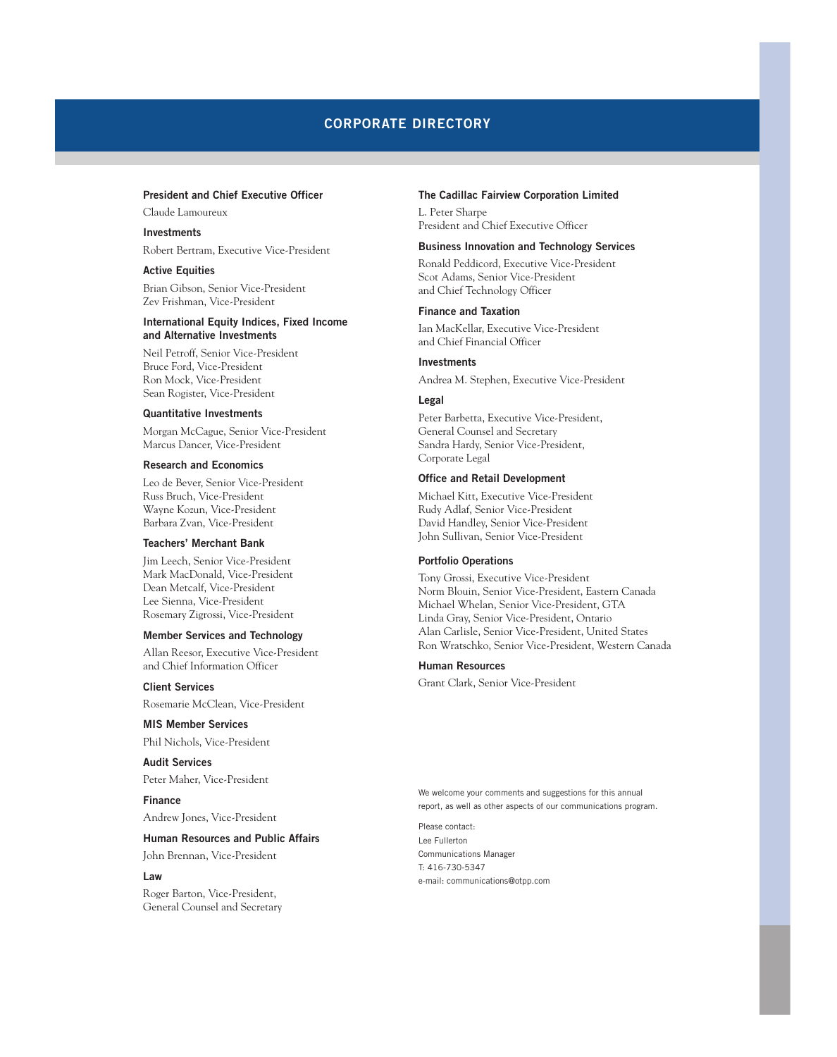# **CORPORATE DIRECTORY**

### **President and Chief Executive Officer**

Claude Lamoureux

### **Investments**

Robert Bertram, Executive Vice-President

### **Active Equities**

Brian Gibson, Senior Vice-President Zev Frishman, Vice-President

### **International Equity Indices, Fixed Income and Alternative Investments**

Neil Petroff, Senior Vice-President Bruce Ford, Vice-President Ron Mock, Vice-President Sean Rogister, Vice-President

### **Quantitative Investments**

Morgan McCague, Senior Vice-President Marcus Dancer, Vice-President

### **Research and Economics**

Leo de Bever, Senior Vice-President Russ Bruch, Vice-President Wayne Kozun, Vice-President Barbara Zvan, Vice-President

### **Teachers' Merchant Bank**

Jim Leech, Senior Vice-President Mark MacDonald, Vice-President Dean Metcalf, Vice-President Lee Sienna, Vice-President Rosemary Zigrossi, Vice-President

### **Member Services and Technology**

Allan Reesor, Executive Vice-President and Chief Information Officer

**Client Services** Rosemarie McClean, Vice-President

### **MIS Member Services**

Phil Nichols, Vice-President

### **Audit Services** Peter Maher, Vice-President

**Finance** Andrew Jones, Vice-President

#### **Human Resources and Public Affairs**

John Brennan, Vice-President

#### **Law**

Roger Barton, Vice-President, General Counsel and Secretary

### **The Cadillac Fairview Corporation Limited**

L. Peter Sharpe President and Chief Executive Officer

### **Business Innovation and Technology Services**

Ronald Peddicord, Executive Vice-President Scot Adams, Senior Vice-President and Chief Technology Officer

### **Finance and Taxation**

Ian MacKellar, Executive Vice-President and Chief Financial Officer

### **Investments**

Andrea M. Stephen, Executive Vice-President

#### **Legal**

Peter Barbetta, Executive Vice-President, General Counsel and Secretary Sandra Hardy, Senior Vice-President, Corporate Legal

#### **Office and Retail Development**

Michael Kitt, Executive Vice-President Rudy Adlaf, Senior Vice-President David Handley, Senior Vice-President John Sullivan, Senior Vice-President

### **Portfolio Operations**

Tony Grossi, Executive Vice-President Norm Blouin, Senior Vice-President, Eastern Canada Michael Whelan, Senior Vice-President, GTA Linda Gray, Senior Vice-President, Ontario Alan Carlisle, Senior Vice-President, United States Ron Wratschko, Senior Vice-President, Western Canada

### **Human Resources**

Grant Clark, Senior Vice-President

We welcome your comments and suggestions for this annual report, as well as other aspects of our communications program.

Please contact: Lee Fullerton Communications Manager T: 416-730-5347 e-mail: communications@otpp.com